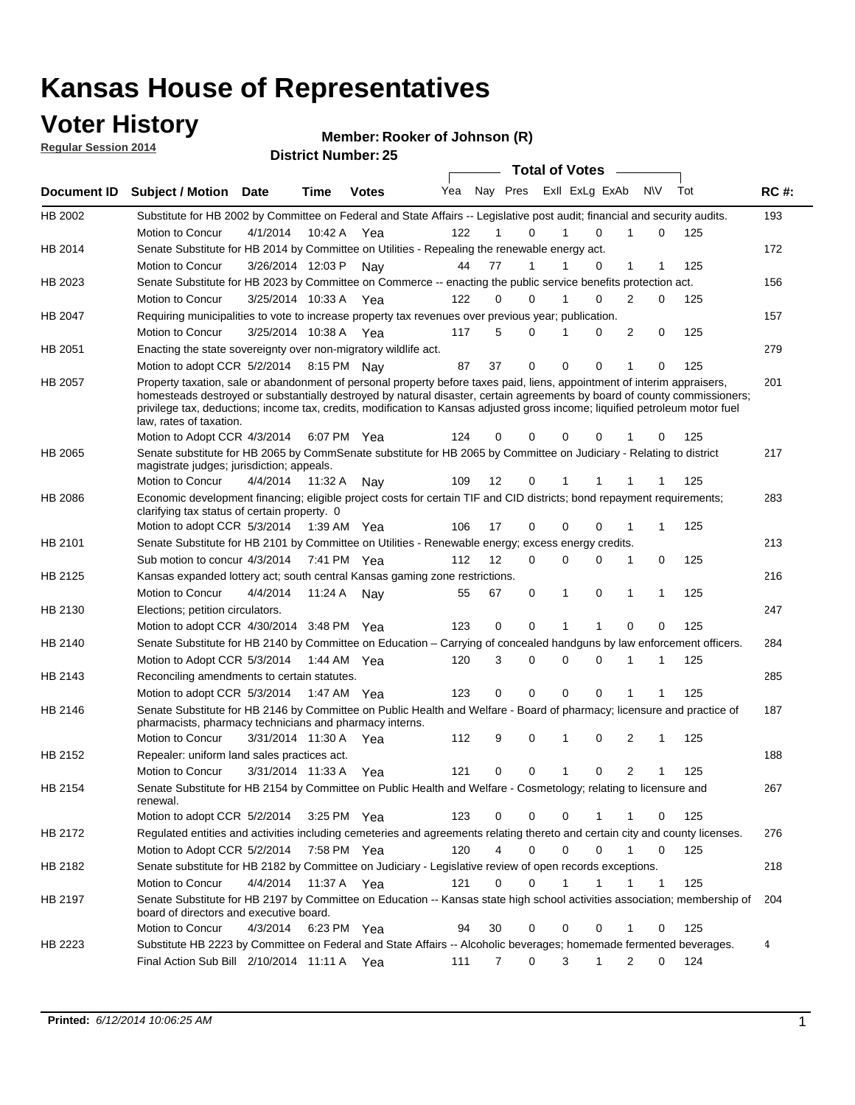### **Voter History**

**Regular Session 2014**

**Member: Rooker of Johnson (R)** 

|  | <b>District Number: 25</b> |
|--|----------------------------|
|--|----------------------------|

|                |                                                                                                                                                                                                                                                                                                                                                                                                                  |                   |             |              |     |                         |              | <b>Total of Votes</b> |              |                |              |     |             |
|----------------|------------------------------------------------------------------------------------------------------------------------------------------------------------------------------------------------------------------------------------------------------------------------------------------------------------------------------------------------------------------------------------------------------------------|-------------------|-------------|--------------|-----|-------------------------|--------------|-----------------------|--------------|----------------|--------------|-----|-------------|
|                | Document ID Subject / Motion Date                                                                                                                                                                                                                                                                                                                                                                                |                   | Time        | <b>Votes</b> | Yea | Nay Pres Exll ExLg ExAb |              |                       |              | N\V            |              | Tot | <b>RC#:</b> |
| HB 2002        | Substitute for HB 2002 by Committee on Federal and State Affairs -- Legislative post audit; financial and security audits.                                                                                                                                                                                                                                                                                       |                   |             |              |     |                         |              |                       |              |                |              |     | 193         |
|                | <b>Motion to Concur</b>                                                                                                                                                                                                                                                                                                                                                                                          | 4/1/2014          | 10:42 A     | Yea          | 122 | 1                       | 0            | 1                     | $\Omega$     | $\mathbf{1}$   | $\Omega$     | 125 |             |
| HB 2014        | Senate Substitute for HB 2014 by Committee on Utilities - Repealing the renewable energy act.                                                                                                                                                                                                                                                                                                                    |                   |             |              |     |                         |              |                       |              |                |              |     | 172         |
|                | Motion to Concur                                                                                                                                                                                                                                                                                                                                                                                                 | 3/26/2014 12:03 P |             | Nay          | 44  | 77                      | $\mathbf{1}$ | 1                     | 0            | $\mathbf{1}$   | 1            | 125 |             |
| HB 2023        | Senate Substitute for HB 2023 by Committee on Commerce -- enacting the public service benefits protection act.                                                                                                                                                                                                                                                                                                   |                   |             |              |     |                         |              |                       |              |                |              |     | 156         |
|                | Motion to Concur                                                                                                                                                                                                                                                                                                                                                                                                 | 3/25/2014 10:33 A |             | Yea          | 122 | 0                       | 0            | 1                     | 0            | $\overline{2}$ | 0            | 125 |             |
| HB 2047        | Requiring municipalities to vote to increase property tax revenues over previous year, publication.                                                                                                                                                                                                                                                                                                              |                   |             |              |     |                         |              |                       |              |                |              |     | 157         |
|                | Motion to Concur                                                                                                                                                                                                                                                                                                                                                                                                 | 3/25/2014 10:38 A |             | Yea          | 117 | 5                       | 0            | 1                     | 0            | $\overline{2}$ | 0            | 125 |             |
| HB 2051        | Enacting the state sovereignty over non-migratory wildlife act.                                                                                                                                                                                                                                                                                                                                                  |                   |             |              |     |                         |              |                       |              |                |              |     | 279         |
|                | Motion to adopt CCR 5/2/2014 8:15 PM Nay                                                                                                                                                                                                                                                                                                                                                                         |                   |             |              | 87  | 37                      | 0            | $\mathbf 0$           | 0            | $\mathbf{1}$   | 0            | 125 |             |
| HB 2057        | Property taxation, sale or abandonment of personal property before taxes paid, liens, appointment of interim appraisers,<br>homesteads destroyed or substantially destroyed by natural disaster, certain agreements by board of county commissioners;<br>privilege tax, deductions; income tax, credits, modification to Kansas adjusted gross income; liquified petroleum motor fuel<br>law, rates of taxation. |                   |             |              |     |                         |              |                       |              |                |              |     | 201         |
|                | Motion to Adopt CCR 4/3/2014                                                                                                                                                                                                                                                                                                                                                                                     |                   |             | 6:07 PM Yea  | 124 | 0                       | 0            | 0                     | $\Omega$     |                | 0            | 125 |             |
| <b>HB 2065</b> | Senate substitute for HB 2065 by CommSenate substitute for HB 2065 by Committee on Judiciary - Relating to district<br>magistrate judges; jurisdiction; appeals.                                                                                                                                                                                                                                                 |                   |             |              |     |                         |              |                       |              |                |              |     | 217         |
|                | Motion to Concur                                                                                                                                                                                                                                                                                                                                                                                                 | 4/4/2014 11:32 A  |             | Nav          | 109 | 12                      | 0            |                       |              |                |              | 125 |             |
| HB 2086        | Economic development financing; eligible project costs for certain TIF and CID districts; bond repayment requirements;<br>clarifying tax status of certain property. 0                                                                                                                                                                                                                                           |                   |             |              |     |                         |              |                       |              |                |              |     | 283         |
|                | Motion to adopt CCR 5/3/2014 1:39 AM Yea                                                                                                                                                                                                                                                                                                                                                                         |                   |             |              | 106 | 17                      | 0            | 0                     | $\Omega$     | 1              | 1            | 125 |             |
| HB 2101        | Senate Substitute for HB 2101 by Committee on Utilities - Renewable energy; excess energy credits.                                                                                                                                                                                                                                                                                                               |                   |             |              |     |                         |              |                       |              |                |              |     | 213         |
|                | Sub motion to concur 4/3/2014 7:41 PM Yea                                                                                                                                                                                                                                                                                                                                                                        |                   |             |              | 112 | 12                      | 0            | $\mathbf 0$           | $\Omega$     | 1              | 0            | 125 |             |
| HB 2125        | Kansas expanded lottery act; south central Kansas gaming zone restrictions.                                                                                                                                                                                                                                                                                                                                      |                   |             |              |     |                         |              |                       |              |                |              |     | 216         |
|                | Motion to Concur                                                                                                                                                                                                                                                                                                                                                                                                 | 4/4/2014          | 11:24 A     | Nav          | 55  | 67                      | 0            | 1                     | 0            | 1              | 1            | 125 |             |
| HB 2130        | Elections; petition circulators.                                                                                                                                                                                                                                                                                                                                                                                 |                   |             |              |     |                         |              |                       |              |                |              |     | 247         |
|                | Motion to adopt CCR 4/30/2014 3:48 PM Yea                                                                                                                                                                                                                                                                                                                                                                        |                   |             |              | 123 | 0                       | 0            | 1                     | $\mathbf 1$  | 0              | 0            | 125 |             |
| HB 2140        | Senate Substitute for HB 2140 by Committee on Education – Carrying of concealed handguns by law enforcement officers.                                                                                                                                                                                                                                                                                            |                   |             |              |     |                         |              |                       |              |                |              |     | 284         |
|                | Motion to Adopt CCR 5/3/2014 1:44 AM Yea                                                                                                                                                                                                                                                                                                                                                                         |                   |             |              | 120 | 3                       | 0            | 0                     | $\Omega$     | 1              | 1            | 125 |             |
| HB 2143        | Reconciling amendments to certain statutes.                                                                                                                                                                                                                                                                                                                                                                      |                   |             |              |     |                         |              |                       |              |                |              |     | 285         |
|                | Motion to adopt CCR 5/3/2014 1:47 AM Yea                                                                                                                                                                                                                                                                                                                                                                         |                   |             |              | 123 | 0                       | 0            | $\mathbf 0$           | 0            | $\mathbf{1}$   | 1            | 125 |             |
| HB 2146        | Senate Substitute for HB 2146 by Committee on Public Health and Welfare - Board of pharmacy; licensure and practice of<br>pharmacists, pharmacy technicians and pharmacy interns.                                                                                                                                                                                                                                |                   |             |              |     |                         |              |                       |              |                |              |     | 187         |
|                | Motion to Concur                                                                                                                                                                                                                                                                                                                                                                                                 | 3/31/2014 11:30 A |             | Yea          | 112 | 9                       | 0            | 1                     | 0            | 2              | 1            | 125 |             |
| HB 2152        | Repealer: uniform land sales practices act.                                                                                                                                                                                                                                                                                                                                                                      |                   |             |              |     |                         |              |                       |              |                |              |     | 188         |
|                | Motion to Concur                                                                                                                                                                                                                                                                                                                                                                                                 | 3/31/2014 11:33 A |             | Yea          | 121 | 0                       | 0            | $\mathbf{1}$          | 0            | 2              | $\mathbf{1}$ | 125 |             |
| HB 2154        | Senate Substitute for HB 2154 by Committee on Public Health and Welfare - Cosmetology; relating to licensure and<br>renewal.                                                                                                                                                                                                                                                                                     |                   |             |              |     |                         |              |                       |              |                |              |     | 267         |
|                | Motion to adopt CCR 5/2/2014 3:25 PM Yea                                                                                                                                                                                                                                                                                                                                                                         |                   |             |              | 123 | 0                       | 0            | 0                     | 1            | 1              | 0            | 125 |             |
| HB 2172        | Regulated entities and activities including cemeteries and agreements relating thereto and certain city and county licenses.                                                                                                                                                                                                                                                                                     |                   |             |              |     |                         |              |                       |              |                |              |     | 276         |
|                | Motion to Adopt CCR 5/2/2014                                                                                                                                                                                                                                                                                                                                                                                     |                   | 7:58 PM Yea |              | 120 | 4                       | 0            | $\Omega$              | $\Omega$     | 1              | $\Omega$     | 125 |             |
| HB 2182        | Senate substitute for HB 2182 by Committee on Judiciary - Legislative review of open records exceptions.                                                                                                                                                                                                                                                                                                         |                   |             |              |     |                         |              |                       |              |                |              |     | 218         |
|                | Motion to Concur                                                                                                                                                                                                                                                                                                                                                                                                 | 4/4/2014          | 11:37 A Yea |              | 121 | $\Omega$                | 0            | 1                     | 1            |                | 1            | 125 |             |
| HB 2197        | Senate Substitute for HB 2197 by Committee on Education -- Kansas state high school activities association; membership of<br>board of directors and executive board.                                                                                                                                                                                                                                             |                   |             |              |     |                         |              |                       |              |                |              |     | 204         |
|                | Motion to Concur                                                                                                                                                                                                                                                                                                                                                                                                 | 4/3/2014          |             | 6:23 PM Yea  | 94  | 30                      | 0            | 0                     | 0            | 1              | 0            | 125 |             |
| HB 2223        | Substitute HB 2223 by Committee on Federal and State Affairs -- Alcoholic beverages; homemade fermented beverages.                                                                                                                                                                                                                                                                                               |                   |             |              |     |                         |              |                       |              |                |              |     | 4           |
|                | Final Action Sub Bill 2/10/2014 11:11 A Yea                                                                                                                                                                                                                                                                                                                                                                      |                   |             |              | 111 | 7                       | 0            | 3                     | $\mathbf{1}$ | 2              | 0            | 124 |             |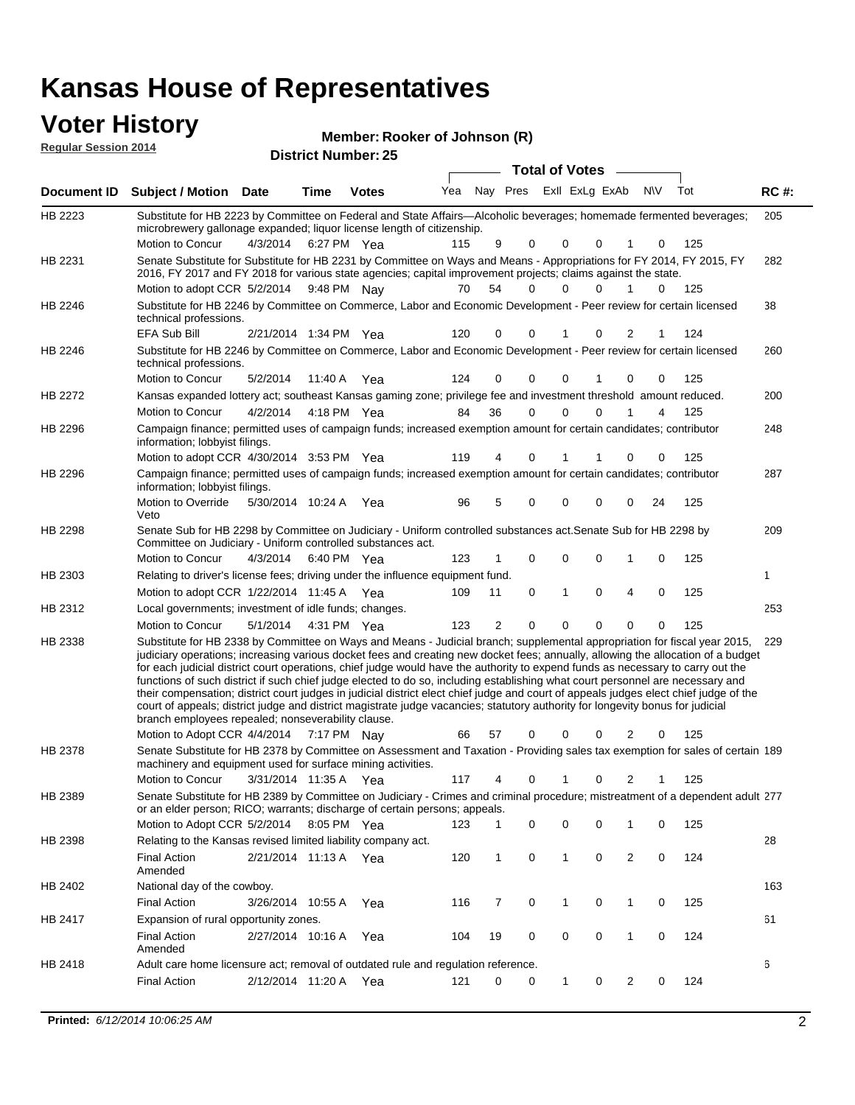### **Voter History**

| TULUI TIIJLUI Y<br><b>Regular Session 2014</b> |                                                                                                                                                                                                                                                                                                                                                                                                                                                                                                                                                                                                                                                                                                                                                                                                                                                                                                     |                        |             | Member: Rooker of Johnson (R) |     |    |                         |              |          |                |     |   |     |             |
|------------------------------------------------|-----------------------------------------------------------------------------------------------------------------------------------------------------------------------------------------------------------------------------------------------------------------------------------------------------------------------------------------------------------------------------------------------------------------------------------------------------------------------------------------------------------------------------------------------------------------------------------------------------------------------------------------------------------------------------------------------------------------------------------------------------------------------------------------------------------------------------------------------------------------------------------------------------|------------------------|-------------|-------------------------------|-----|----|-------------------------|--------------|----------|----------------|-----|---|-----|-------------|
|                                                |                                                                                                                                                                                                                                                                                                                                                                                                                                                                                                                                                                                                                                                                                                                                                                                                                                                                                                     |                        |             | <b>District Number: 25</b>    |     |    |                         |              |          |                |     |   |     |             |
|                                                |                                                                                                                                                                                                                                                                                                                                                                                                                                                                                                                                                                                                                                                                                                                                                                                                                                                                                                     |                        |             |                               |     |    | <b>Total of Votes</b>   |              |          |                |     |   |     |             |
| <b>Document ID</b>                             | Subject / Motion Date                                                                                                                                                                                                                                                                                                                                                                                                                                                                                                                                                                                                                                                                                                                                                                                                                                                                               |                        | Time        | <b>Votes</b>                  | Yea |    | Nay Pres ExII ExLg ExAb |              |          |                | N\V |   | Tot | <b>RC#:</b> |
| HB 2223                                        | Substitute for HB 2223 by Committee on Federal and State Affairs—Alcoholic beverages; homemade fermented beverages;<br>microbrewery gallonage expanded; liquor license length of citizenship.<br>Motion to Concur                                                                                                                                                                                                                                                                                                                                                                                                                                                                                                                                                                                                                                                                                   | 4/3/2014 6:27 PM Yea   |             |                               | 115 | 9  | 0                       | $\Omega$     | $\Omega$ | 1              |     | 0 | 125 | 205         |
| HB 2231                                        | Senate Substitute for Substitute for HB 2231 by Committee on Ways and Means - Appropriations for FY 2014, FY 2015, FY<br>2016, FY 2017 and FY 2018 for various state agencies; capital improvement projects; claims against the state.<br>Motion to adopt CCR 5/2/2014 9:48 PM Nav                                                                                                                                                                                                                                                                                                                                                                                                                                                                                                                                                                                                                  |                        |             |                               | 70  | 54 | 0                       | 0            | $\Omega$ |                |     | 0 | 125 | 282         |
| HB 2246                                        | Substitute for HB 2246 by Committee on Commerce, Labor and Economic Development - Peer review for certain licensed<br>technical professions.                                                                                                                                                                                                                                                                                                                                                                                                                                                                                                                                                                                                                                                                                                                                                        |                        |             |                               |     |    |                         |              |          |                |     |   |     | 38          |
|                                                | <b>EFA Sub Bill</b>                                                                                                                                                                                                                                                                                                                                                                                                                                                                                                                                                                                                                                                                                                                                                                                                                                                                                 | 2/21/2014 1:34 PM Yea  |             |                               | 120 | 0  | 0                       |              | 0        | 2              |     |   | 124 |             |
| HB 2246                                        | Substitute for HB 2246 by Committee on Commerce, Labor and Economic Development - Peer review for certain licensed<br>technical professions.<br>Motion to Concur                                                                                                                                                                                                                                                                                                                                                                                                                                                                                                                                                                                                                                                                                                                                    | 5/2/2014               | 11:40 A     |                               | 124 | 0  | 0                       | $\mathbf 0$  | 1        | 0              |     | 0 | 125 | 260         |
| HB 2272                                        | Kansas expanded lottery act; southeast Kansas gaming zone; privilege fee and investment threshold amount reduced.                                                                                                                                                                                                                                                                                                                                                                                                                                                                                                                                                                                                                                                                                                                                                                                   |                        |             | Yea                           |     |    |                         |              |          |                |     |   |     | 200         |
|                                                | Motion to Concur                                                                                                                                                                                                                                                                                                                                                                                                                                                                                                                                                                                                                                                                                                                                                                                                                                                                                    | 4/2/2014               | 4:18 PM Yea |                               | 84  | 36 | $\Omega$                | $\mathbf 0$  | $\Omega$ | 1              |     | 4 | 125 |             |
| HB 2296                                        | Campaign finance; permitted uses of campaign funds; increased exemption amount for certain candidates; contributor<br>information; lobbyist filings.                                                                                                                                                                                                                                                                                                                                                                                                                                                                                                                                                                                                                                                                                                                                                |                        |             |                               |     |    |                         |              |          |                |     |   |     | 248         |
|                                                | Motion to adopt CCR 4/30/2014 3:53 PM Yea                                                                                                                                                                                                                                                                                                                                                                                                                                                                                                                                                                                                                                                                                                                                                                                                                                                           |                        |             |                               | 119 | 4  | 0                       |              |          | 0              |     | 0 | 125 |             |
| HB 2296                                        | Campaign finance; permitted uses of campaign funds; increased exemption amount for certain candidates; contributor<br>information; lobbyist filings.                                                                                                                                                                                                                                                                                                                                                                                                                                                                                                                                                                                                                                                                                                                                                |                        |             |                               |     |    |                         |              |          |                |     |   |     | 287         |
|                                                | Motion to Override<br>Veto                                                                                                                                                                                                                                                                                                                                                                                                                                                                                                                                                                                                                                                                                                                                                                                                                                                                          | 5/30/2014 10:24 A      |             | Yea                           | 96  | 5  | 0                       | $\mathbf 0$  | 0        | 0              | 24  |   | 125 |             |
| HB 2298                                        | Senate Sub for HB 2298 by Committee on Judiciary - Uniform controlled substances act. Senate Sub for HB 2298 by<br>Committee on Judiciary - Uniform controlled substances act.                                                                                                                                                                                                                                                                                                                                                                                                                                                                                                                                                                                                                                                                                                                      |                        |             |                               |     |    |                         |              |          |                |     |   |     | 209         |
|                                                | Motion to Concur                                                                                                                                                                                                                                                                                                                                                                                                                                                                                                                                                                                                                                                                                                                                                                                                                                                                                    | 4/3/2014               | 6:40 PM Yea |                               | 123 |    | 0                       | $\mathbf 0$  | 0        | 1              |     | 0 | 125 |             |
| HB 2303                                        | Relating to driver's license fees; driving under the influence equipment fund.                                                                                                                                                                                                                                                                                                                                                                                                                                                                                                                                                                                                                                                                                                                                                                                                                      |                        |             |                               |     |    |                         |              |          |                |     |   |     | 1           |
|                                                | Motion to adopt CCR 1/22/2014 11:45 A Yea                                                                                                                                                                                                                                                                                                                                                                                                                                                                                                                                                                                                                                                                                                                                                                                                                                                           |                        |             |                               | 109 | 11 | 0                       | $\mathbf{1}$ | 0        | 4              |     | 0 | 125 |             |
| HB 2312                                        | Local governments; investment of idle funds; changes.                                                                                                                                                                                                                                                                                                                                                                                                                                                                                                                                                                                                                                                                                                                                                                                                                                               |                        |             |                               |     |    |                         |              |          |                |     |   |     | 253         |
|                                                | Motion to Concur                                                                                                                                                                                                                                                                                                                                                                                                                                                                                                                                                                                                                                                                                                                                                                                                                                                                                    | 5/1/2014  4:31 PM  Yea |             |                               | 123 | 2  | 0                       | $\mathbf 0$  | $\Omega$ | $\Omega$       |     | 0 | 125 |             |
| HB 2338                                        | Substitute for HB 2338 by Committee on Ways and Means - Judicial branch; supplemental appropriation for fiscal year 2015,<br>judiciary operations; increasing various docket fees and creating new docket fees; annually, allowing the allocation of a budget<br>for each judicial district court operations, chief judge would have the authority to expend funds as necessary to carry out the<br>functions of such district if such chief judge elected to do so, including establishing what court personnel are necessary and<br>their compensation; district court judges in judicial district elect chief judge and court of appeals judges elect chief judge of the<br>court of appeals; district judge and district magistrate judge vacancies; statutory authority for longevity bonus for judicial<br>branch employees repealed; nonseverability clause.<br>Motion to Adopt CCR 4/4/2014 |                        | 7:17 PM Nay |                               | 66  | 57 | 0                       | 0            | 0        |                | 2   | 0 | 125 | 229         |
| HB 2378                                        | Senate Substitute for HB 2378 by Committee on Assessment and Taxation - Providing sales tax exemption for sales of certain 189<br>machinery and equipment used for surface mining activities.                                                                                                                                                                                                                                                                                                                                                                                                                                                                                                                                                                                                                                                                                                       |                        |             |                               |     |    |                         |              |          |                |     |   |     |             |
|                                                | Motion to Concur                                                                                                                                                                                                                                                                                                                                                                                                                                                                                                                                                                                                                                                                                                                                                                                                                                                                                    | 3/31/2014 11:35 A Yea  |             |                               | 117 | 4  | 0                       | 1            | 0        |                | 2   | 1 | 125 |             |
| HB 2389                                        | Senate Substitute for HB 2389 by Committee on Judiciary - Crimes and criminal procedure; mistreatment of a dependent adult 277<br>or an elder person; RICO; warrants; discharge of certain persons; appeals.                                                                                                                                                                                                                                                                                                                                                                                                                                                                                                                                                                                                                                                                                        |                        |             |                               |     |    |                         |              |          |                |     |   |     |             |
|                                                | Motion to Adopt CCR 5/2/2014 8:05 PM Yea                                                                                                                                                                                                                                                                                                                                                                                                                                                                                                                                                                                                                                                                                                                                                                                                                                                            |                        |             |                               | 123 | 1  | 0                       | 0            | 0        | 1              |     | 0 | 125 |             |
| HB 2398                                        | Relating to the Kansas revised limited liability company act.                                                                                                                                                                                                                                                                                                                                                                                                                                                                                                                                                                                                                                                                                                                                                                                                                                       |                        |             |                               |     |    |                         |              |          |                |     |   |     | 28          |
|                                                | <b>Final Action</b><br>Amended                                                                                                                                                                                                                                                                                                                                                                                                                                                                                                                                                                                                                                                                                                                                                                                                                                                                      | 2/21/2014 11:13 A Yea  |             |                               | 120 | 1  | 0                       | 1            | 0        | $\overline{2}$ |     | 0 | 124 |             |
| HB 2402                                        | National day of the cowboy.                                                                                                                                                                                                                                                                                                                                                                                                                                                                                                                                                                                                                                                                                                                                                                                                                                                                         |                        |             |                               |     |    |                         |              |          |                |     |   |     | 163         |
|                                                | <b>Final Action</b>                                                                                                                                                                                                                                                                                                                                                                                                                                                                                                                                                                                                                                                                                                                                                                                                                                                                                 | 3/26/2014 10:55 A      |             | Yea                           | 116 | 7  | 0                       | 1            | 0        | 1              |     | 0 | 125 |             |
| HB 2417                                        | Expansion of rural opportunity zones.                                                                                                                                                                                                                                                                                                                                                                                                                                                                                                                                                                                                                                                                                                                                                                                                                                                               |                        |             |                               |     |    |                         |              |          |                |     |   |     | 61          |
|                                                | <b>Final Action</b><br>Amended                                                                                                                                                                                                                                                                                                                                                                                                                                                                                                                                                                                                                                                                                                                                                                                                                                                                      | 2/27/2014 10:16 A      |             | Yea                           | 104 | 19 | 0                       | 0            | 0        | 1              |     | 0 | 124 |             |
| HB 2418                                        | Adult care home licensure act; removal of outdated rule and regulation reference.                                                                                                                                                                                                                                                                                                                                                                                                                                                                                                                                                                                                                                                                                                                                                                                                                   |                        |             |                               |     |    |                         |              |          |                |     |   |     | 6           |
|                                                | <b>Final Action</b>                                                                                                                                                                                                                                                                                                                                                                                                                                                                                                                                                                                                                                                                                                                                                                                                                                                                                 | 2/12/2014 11:20 A Yea  |             |                               | 121 | 0  | 0                       | $\mathbf{1}$ | 0        | 2              |     | 0 | 124 |             |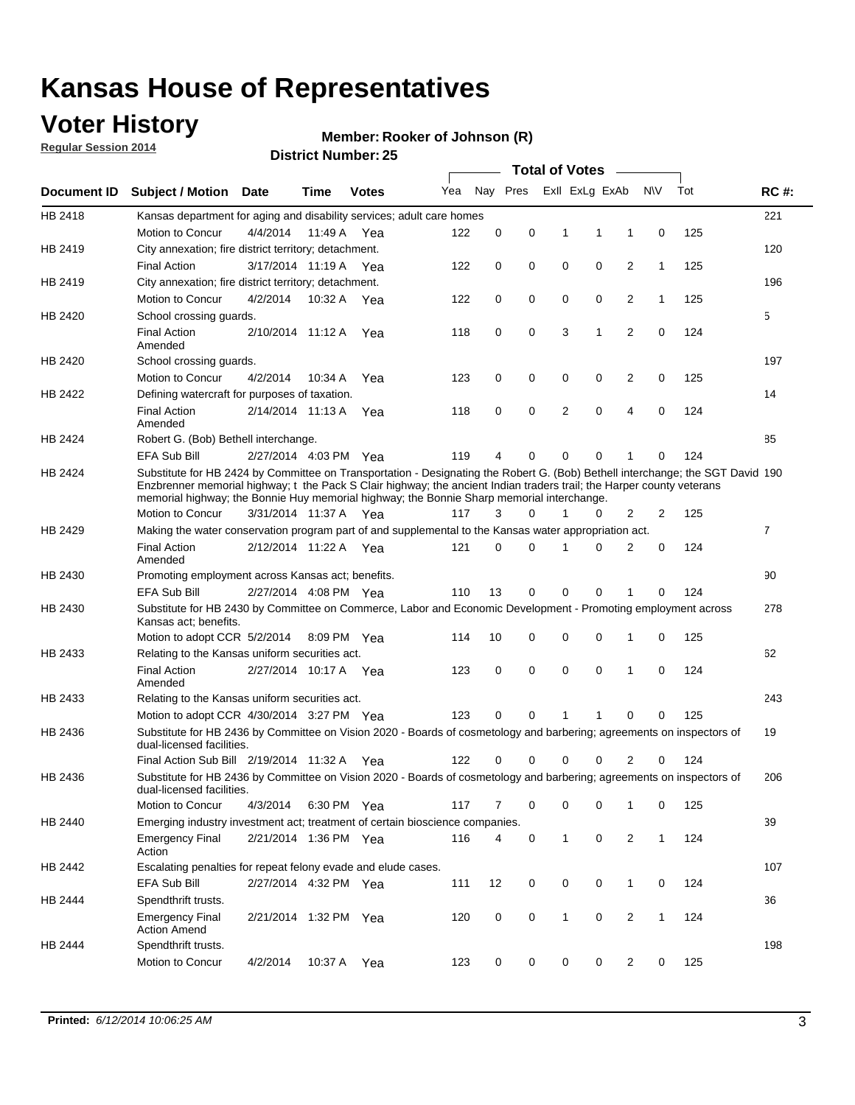### **Voter History**

**Regular Session 2014**

#### **Member: Rooker of Johnson (R)**

|             |                                                                                                                                                                                                                                                                                                                                                      |                       |         | <b>DISUILLINUIIINGI. ZJ</b> |     |             |   |              | <b>Total of Votes</b>   |                |              |     |                |
|-------------|------------------------------------------------------------------------------------------------------------------------------------------------------------------------------------------------------------------------------------------------------------------------------------------------------------------------------------------------------|-----------------------|---------|-----------------------------|-----|-------------|---|--------------|-------------------------|----------------|--------------|-----|----------------|
| Document ID | <b>Subject / Motion Date</b>                                                                                                                                                                                                                                                                                                                         |                       | Time    | <b>Votes</b>                | Yea |             |   |              | Nay Pres ExII ExLg ExAb |                | <b>NV</b>    | Tot | <b>RC#:</b>    |
| HB 2418     | Kansas department for aging and disability services; adult care homes                                                                                                                                                                                                                                                                                |                       |         |                             |     |             |   |              |                         |                |              |     | 221            |
|             | Motion to Concur                                                                                                                                                                                                                                                                                                                                     | 4/4/2014              | 11:49 A | Yea                         | 122 | 0           | 0 | 1            | 1                       | 1              | 0            | 125 |                |
| HB 2419     | City annexation; fire district territory; detachment.                                                                                                                                                                                                                                                                                                |                       |         |                             |     |             |   |              |                         |                |              |     | 120            |
|             | <b>Final Action</b>                                                                                                                                                                                                                                                                                                                                  | 3/17/2014 11:19 A Yea |         |                             | 122 | 0           | 0 | $\mathbf 0$  | 0                       | $\overline{2}$ | $\mathbf{1}$ | 125 |                |
| HB 2419     | City annexation; fire district territory; detachment.                                                                                                                                                                                                                                                                                                |                       |         |                             |     |             |   |              |                         |                |              |     | 196            |
|             | Motion to Concur                                                                                                                                                                                                                                                                                                                                     | 4/2/2014              |         | 10:32 A Yea                 | 122 | 0           | 0 | 0            | 0                       | 2              | $\mathbf{1}$ | 125 |                |
| HB 2420     | School crossing quards.                                                                                                                                                                                                                                                                                                                              |                       |         |                             |     |             |   |              |                         |                |              |     | 5              |
|             | <b>Final Action</b><br>Amended                                                                                                                                                                                                                                                                                                                       | 2/10/2014 11:12 A     |         | Yea                         | 118 | 0           | 0 | 3            | 1                       | 2              | 0            | 124 |                |
| HB 2420     | School crossing guards.                                                                                                                                                                                                                                                                                                                              |                       |         |                             |     |             |   |              |                         |                |              |     | 197            |
|             | Motion to Concur                                                                                                                                                                                                                                                                                                                                     | 4/2/2014              | 10:34 A | Yea                         | 123 | 0           | 0 | 0            | 0                       | 2              | 0            | 125 |                |
| HB 2422     | Defining watercraft for purposes of taxation.                                                                                                                                                                                                                                                                                                        |                       |         |                             |     |             |   |              |                         |                |              |     | 14             |
|             | <b>Final Action</b><br>Amended                                                                                                                                                                                                                                                                                                                       | 2/14/2014 11:13 A     |         | Yea                         | 118 | 0           | 0 | 2            | 0                       | 4              | $\mathbf 0$  | 124 |                |
| HB 2424     | Robert G. (Bob) Bethell interchange.                                                                                                                                                                                                                                                                                                                 |                       |         |                             |     |             |   |              |                         |                |              |     | 85             |
|             | <b>EFA Sub Bill</b>                                                                                                                                                                                                                                                                                                                                  | 2/27/2014 4:03 PM Yea |         |                             | 119 | 4           | 0 | 0            | 0                       | 1              | 0            | 124 |                |
| HB 2424     | Substitute for HB 2424 by Committee on Transportation - Designating the Robert G. (Bob) Bethell interchange; the SGT David 190<br>Enzbrenner memorial highway; t the Pack S Clair highway; the ancient Indian traders trail; the Harper county veterans<br>memorial highway; the Bonnie Huy memorial highway; the Bonnie Sharp memorial interchange. |                       |         |                             |     |             |   |              |                         |                |              |     |                |
|             | Motion to Concur                                                                                                                                                                                                                                                                                                                                     | 3/31/2014 11:37 A     |         | Yea                         | 117 | 3           | 0 | 1            | 0                       | 2              | 2            | 125 |                |
| HB 2429     | Making the water conservation program part of and supplemental to the Kansas water appropriation act.                                                                                                                                                                                                                                                |                       |         |                             |     |             |   |              |                         |                |              |     | $\overline{7}$ |
|             | <b>Final Action</b><br>Amended                                                                                                                                                                                                                                                                                                                       | 2/12/2014 11:22 A     |         | Yea                         | 121 | $\mathbf 0$ | 0 | 1            | 0                       | $\overline{2}$ | 0            | 124 |                |
| HB 2430     | Promoting employment across Kansas act; benefits.                                                                                                                                                                                                                                                                                                    |                       |         |                             |     |             |   |              |                         |                |              |     | 90             |
|             | EFA Sub Bill                                                                                                                                                                                                                                                                                                                                         | 2/27/2014 4:08 PM Yea |         |                             | 110 | 13          | 0 | 0            | 0                       | 1              | 0            | 124 |                |
| HB 2430     | Substitute for HB 2430 by Committee on Commerce, Labor and Economic Development - Promoting employment across<br>Kansas act; benefits.                                                                                                                                                                                                               |                       |         |                             |     |             |   |              |                         |                |              |     | 278            |
|             | Motion to adopt CCR 5/2/2014 8:09 PM Yea                                                                                                                                                                                                                                                                                                             |                       |         |                             | 114 | 10          | 0 | 0            | 0                       | 1              | $\mathbf 0$  | 125 |                |
| HB 2433     | Relating to the Kansas uniform securities act.                                                                                                                                                                                                                                                                                                       |                       |         |                             |     |             |   |              |                         |                |              |     | 62             |
|             | <b>Final Action</b><br>Amended                                                                                                                                                                                                                                                                                                                       | 2/27/2014 10:17 A Yea |         |                             | 123 | 0           | 0 | $\mathbf 0$  | $\mathbf 0$             | 1              | $\mathbf 0$  | 124 |                |
| HB 2433     | Relating to the Kansas uniform securities act.                                                                                                                                                                                                                                                                                                       |                       |         |                             |     |             |   |              |                         |                |              |     | 243            |
|             | Motion to adopt CCR 4/30/2014 3:27 PM Yea                                                                                                                                                                                                                                                                                                            |                       |         |                             | 123 | 0           | 0 | 1            | 1                       | 0              | 0            | 125 |                |
| HB 2436     | Substitute for HB 2436 by Committee on Vision 2020 - Boards of cosmetology and barbering; agreements on inspectors of<br>dual-licensed facilities.                                                                                                                                                                                                   |                       |         |                             |     |             |   |              |                         |                |              |     | 19             |
|             | Final Action Sub Bill 2/19/2014 11:32 A                                                                                                                                                                                                                                                                                                              |                       |         | Yea                         | 122 | 0           | 0 | 0            | 0                       | 2              | 0            | 124 |                |
| HB 2436     | Substitute for HB 2436 by Committee on Vision 2020 - Boards of cosmetology and barbering; agreements on inspectors of<br>dual-licensed facilities.                                                                                                                                                                                                   |                       |         |                             |     |             |   |              |                         |                |              |     | 206            |
|             | Motion to Concur                                                                                                                                                                                                                                                                                                                                     | 4/3/2014              |         | 6:30 PM Yea                 | 117 | 7           | 0 | 0            | 0                       | 1              | 0            | 125 |                |
| HB 2440     | Emerging industry investment act; treatment of certain bioscience companies.                                                                                                                                                                                                                                                                         |                       |         |                             |     |             |   |              |                         |                |              |     | 39             |
|             | <b>Emergency Final</b><br>Action                                                                                                                                                                                                                                                                                                                     | 2/21/2014 1:36 PM Yea |         |                             | 116 | 4           | 0 | $\mathbf{1}$ | 0                       | $\overline{2}$ | $\mathbf{1}$ | 124 |                |
| HB 2442     | Escalating penalties for repeat felony evade and elude cases.                                                                                                                                                                                                                                                                                        |                       |         |                             |     |             |   |              |                         |                |              |     | 107            |
|             | EFA Sub Bill                                                                                                                                                                                                                                                                                                                                         | 2/27/2014 4:32 PM Yea |         |                             | 111 | 12          | 0 | 0            | 0                       | $\mathbf{1}$   | 0            | 124 |                |
| HB 2444     | Spendthrift trusts.                                                                                                                                                                                                                                                                                                                                  |                       |         |                             |     |             |   |              |                         |                |              |     | 36             |
|             | <b>Emergency Final</b><br><b>Action Amend</b>                                                                                                                                                                                                                                                                                                        | 2/21/2014 1:32 PM Yea |         |                             | 120 | 0           | 0 | $\mathbf{1}$ | 0                       | $\overline{2}$ | 1            | 124 |                |
| HB 2444     | Spendthrift trusts.                                                                                                                                                                                                                                                                                                                                  |                       |         |                             |     |             |   |              |                         |                |              |     | 198            |
|             | Motion to Concur                                                                                                                                                                                                                                                                                                                                     | 4/2/2014              | 10:37 A | Yea                         | 123 | 0           | 0 | 0            | 0                       | $\overline{2}$ | 0            | 125 |                |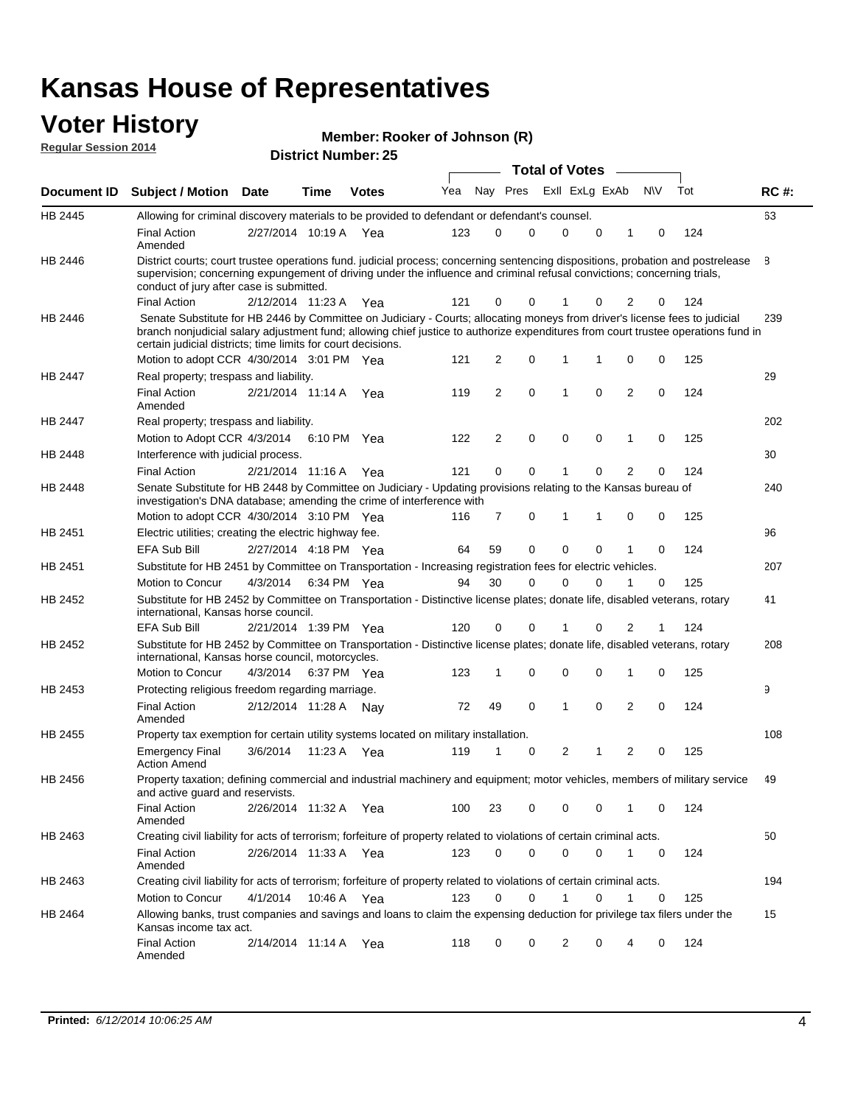#### **Voter History Regular**

| GET IN SLUTY | Member: Rooker of Johnson (R)             |
|--------------|-------------------------------------------|
| Session 2014 | <b>District Number: 25</b>                |
|              | <b>Total of Votes</b><br>$\sim$ 100 $\mu$ |

| Document ID | <b>Subject / Motion</b>                                                                                                                                                                                                                                                                                                         | <b>Date</b>           | Time        | <b>Votes</b> | Yea |    | Nay Pres                      | Exll ExLg ExAb |                | N\V            |             | Tot | <b>RC#:</b> |
|-------------|---------------------------------------------------------------------------------------------------------------------------------------------------------------------------------------------------------------------------------------------------------------------------------------------------------------------------------|-----------------------|-------------|--------------|-----|----|-------------------------------|----------------|----------------|----------------|-------------|-----|-------------|
| HB 2445     | Allowing for criminal discovery materials to be provided to defendant or defendant's counsel.                                                                                                                                                                                                                                   |                       |             |              |     |    |                               |                |                |                |             |     | 63          |
|             | <b>Final Action</b><br>Amended                                                                                                                                                                                                                                                                                                  | 2/27/2014 10:19 A     |             | Yea          | 123 | 0  | 0                             | 0              | $\mathbf 0$    | 1              | 0           | 124 |             |
| HB 2446     | District courts; court trustee operations fund. judicial process; concerning sentencing dispositions, probation and postrelease<br>supervision; concerning expungement of driving under the influence and criminal refusal convictions; concerning trials,<br>conduct of jury after case is submitted.                          |                       |             |              |     |    |                               |                |                |                |             |     | 8           |
|             | <b>Final Action</b>                                                                                                                                                                                                                                                                                                             | 2/12/2014 11:23 A     |             | Yea          | 121 | 0  | 0                             | 1              | 0              | 2              | 0           | 124 |             |
| HB 2446     | Senate Substitute for HB 2446 by Committee on Judiciary - Courts; allocating moneys from driver's license fees to judicial<br>branch nonjudicial salary adjustment fund; allowing chief justice to authorize expenditures from court trustee operations fund in<br>certain judicial districts; time limits for court decisions. |                       |             |              |     |    |                               |                |                |                |             |     | 239         |
|             | Motion to adopt CCR 4/30/2014 3:01 PM Yea                                                                                                                                                                                                                                                                                       |                       |             |              | 121 |    | 2<br>0                        | 1              | 1              | 0              | 0           | 125 |             |
| HB 2447     | Real property; trespass and liability.                                                                                                                                                                                                                                                                                          |                       |             |              |     |    |                               |                |                |                |             |     | 29          |
|             | <b>Final Action</b><br>Amended                                                                                                                                                                                                                                                                                                  | 2/21/2014 11:14 A     |             | Yea          | 119 |    | $\mathbf 0$<br>2              | 1              | $\mathbf 0$    | $\overline{2}$ | 0           | 124 |             |
| HB 2447     | Real property; trespass and liability.                                                                                                                                                                                                                                                                                          |                       |             |              |     |    |                               |                |                |                |             |     | 202         |
|             | Motion to Adopt CCR 4/3/2014                                                                                                                                                                                                                                                                                                    |                       |             | 6:10 PM Yea  | 122 |    | $\mathbf 0$<br>$\overline{2}$ | 0              | $\mathbf 0$    | 1              | 0           | 125 |             |
| HB 2448     | Interference with judicial process.                                                                                                                                                                                                                                                                                             |                       |             |              |     |    |                               |                |                |                |             |     | 30          |
|             | <b>Final Action</b>                                                                                                                                                                                                                                                                                                             | 2/21/2014 11:16 A     |             | Yea          | 121 |    | $\mathbf 0$<br>$\mathbf 0$    | 1              | $\Omega$       | $\overline{2}$ | 0           | 124 |             |
| HB 2448     | Senate Substitute for HB 2448 by Committee on Judiciary - Updating provisions relating to the Kansas bureau of<br>investigation's DNA database; amending the crime of interference with                                                                                                                                         |                       |             |              |     |    |                               |                |                |                |             |     | 240         |
|             | Motion to adopt CCR 4/30/2014 3:10 PM Yea                                                                                                                                                                                                                                                                                       |                       |             |              | 116 | 7  | 0                             | 1              | 1              | 0              | 0           | 125 |             |
| HB 2451     | Electric utilities; creating the electric highway fee.                                                                                                                                                                                                                                                                          |                       |             |              |     |    |                               |                |                |                |             |     | 96          |
|             | <b>EFA Sub Bill</b>                                                                                                                                                                                                                                                                                                             | 2/27/2014 4:18 PM Yea |             |              | 64  | 59 | 0                             | $\Omega$       | 0              |                | 0           | 124 |             |
| HB 2451     | Substitute for HB 2451 by Committee on Transportation - Increasing registration fees for electric vehicles.                                                                                                                                                                                                                     |                       |             |              |     |    |                               |                |                |                |             |     | 207         |
|             | Motion to Concur                                                                                                                                                                                                                                                                                                                | 4/3/2014              |             | 6:34 PM Yea  | 94  | 30 | 0                             | $\Omega$       | 0              |                | 0           | 125 |             |
| HB 2452     | Substitute for HB 2452 by Committee on Transportation - Distinctive license plates; donate life, disabled veterans, rotary<br>international, Kansas horse council.                                                                                                                                                              |                       |             |              |     |    |                               |                |                |                |             |     | 41          |
|             | <b>EFA Sub Bill</b>                                                                                                                                                                                                                                                                                                             | 2/21/2014 1:39 PM Yea |             |              | 120 | 0  | 0                             |                | $\mathbf 0$    | 2              | 1           | 124 |             |
| HB 2452     | Substitute for HB 2452 by Committee on Transportation - Distinctive license plates; donate life, disabled veterans, rotary<br>international, Kansas horse council, motorcycles.                                                                                                                                                 |                       |             |              |     |    |                               |                |                |                |             |     | 208         |
|             | Motion to Concur                                                                                                                                                                                                                                                                                                                | 4/3/2014              |             | 6:37 PM Yea  | 123 | 1  | 0                             | 0              | $\mathbf 0$    | 1              | 0           | 125 |             |
| HB 2453     | Protecting religious freedom regarding marriage.                                                                                                                                                                                                                                                                                |                       |             |              |     |    |                               |                |                |                |             |     | 9           |
|             | <b>Final Action</b><br>Amended                                                                                                                                                                                                                                                                                                  | 2/12/2014 11:28 A     |             | Nav          | 72  | 49 | 0                             | 1              | 0              | $\overline{2}$ | 0           | 124 |             |
| HB 2455     | Property tax exemption for certain utility systems located on military installation.                                                                                                                                                                                                                                            |                       |             |              |     |    |                               |                |                |                |             |     | 108         |
|             | <b>Emergency Final</b><br><b>Action Amend</b>                                                                                                                                                                                                                                                                                   | 3/6/2014              | 11:23 A     | Yea          | 119 | 1  | 0                             | 2              | 1              | $\overline{2}$ | 0           | 125 |             |
| HB 2456     | Property taxation; defining commercial and industrial machinery and equipment; motor vehicles, members of military service<br>and active quard and reservists.                                                                                                                                                                  |                       |             |              |     |    |                               |                |                |                |             |     | 49          |
|             | Final Action<br>Amended                                                                                                                                                                                                                                                                                                         | 2/26/2014 11:32 A Yea |             |              |     |    | 100 23 0                      | $\overline{0}$ | $\overline{0}$ | $\overline{1}$ | $\mathbf 0$ | 124 |             |
| HB 2463     | Creating civil liability for acts of terrorism; forfeiture of property related to violations of certain criminal acts.                                                                                                                                                                                                          |                       |             |              |     |    |                               |                |                |                |             |     | 50          |
|             | <b>Final Action</b><br>Amended                                                                                                                                                                                                                                                                                                  | 2/26/2014 11:33 A Yea |             |              | 123 |    | 0<br>0                        | $\mathbf 0$    | 0              | 1              | 0           | 124 |             |
| HB 2463     | Creating civil liability for acts of terrorism; forfeiture of property related to violations of certain criminal acts.                                                                                                                                                                                                          |                       |             |              |     |    |                               |                |                |                |             |     | 194         |
|             | Motion to Concur                                                                                                                                                                                                                                                                                                                | 4/1/2014              | 10:46 A Yea |              | 123 | 0  | 0                             | 1              | 0              | $\mathbf{1}$   | 0           | 125 |             |
| HB 2464     | Allowing banks, trust companies and savings and loans to claim the expensing deduction for privilege tax filers under the<br>Kansas income tax act.                                                                                                                                                                             |                       |             |              |     |    |                               |                |                |                |             |     | 15          |
|             | <b>Final Action</b><br>Amended                                                                                                                                                                                                                                                                                                  | 2/14/2014 11:14 A Yea |             |              | 118 |    | 0<br>0                        | 2              | 0              | 4              | 0           | 124 |             |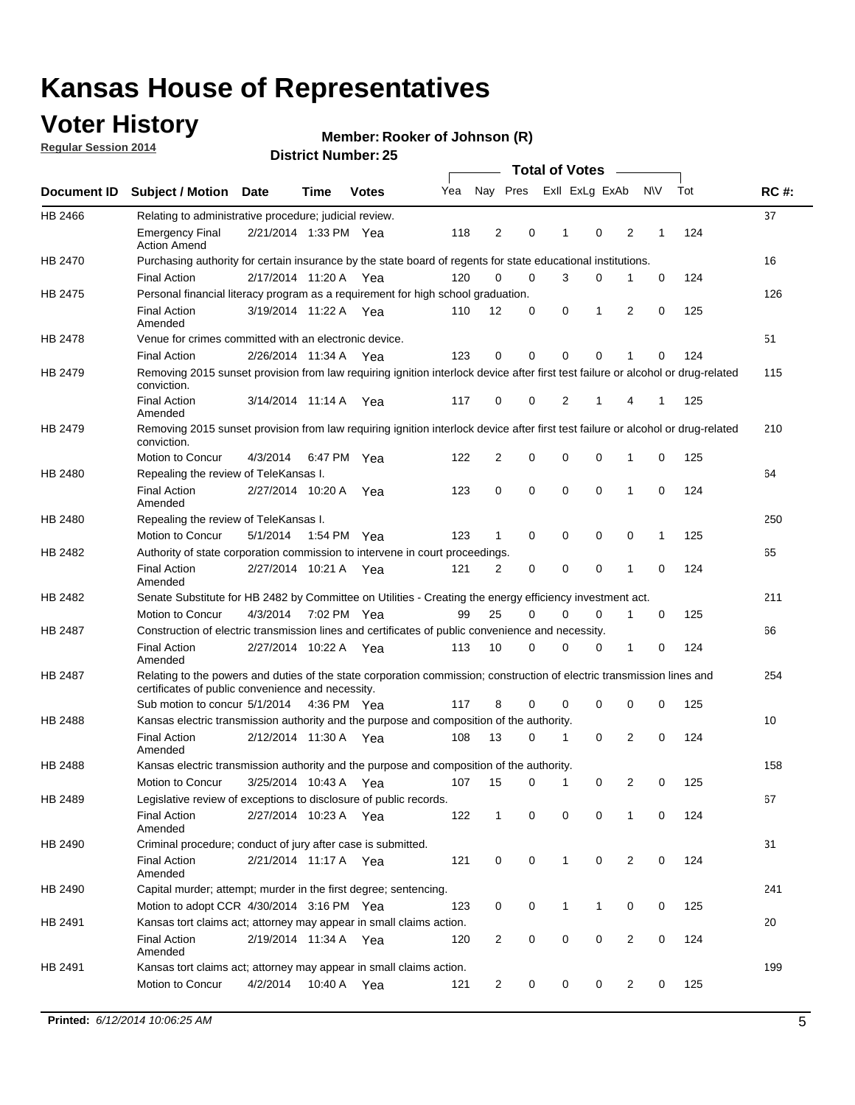### **Voter History**

**Regular Session 2014**

#### **Member: Rooker of Johnson (R)**

|                |                                                                                                                                                                             |                       |             |              |     |                |             | <b>Total of Votes</b> |              |                |   |             |     |             |
|----------------|-----------------------------------------------------------------------------------------------------------------------------------------------------------------------------|-----------------------|-------------|--------------|-----|----------------|-------------|-----------------------|--------------|----------------|---|-------------|-----|-------------|
|                | Document ID Subject / Motion Date                                                                                                                                           |                       | Time        | <b>Votes</b> | Yea |                | Nay Pres    |                       |              | Exll ExLg ExAb |   | <b>NV</b>   | Tot | <b>RC#:</b> |
| HB 2466        | Relating to administrative procedure; judicial review.                                                                                                                      |                       |             |              |     |                |             |                       |              |                |   |             |     | 37          |
|                | <b>Emergency Final</b><br><b>Action Amend</b>                                                                                                                               | 2/21/2014 1:33 PM Yea |             |              | 118 | 2              | 0           |                       | 1            | 0              | 2 | 1           | 124 |             |
| <b>HB 2470</b> | Purchasing authority for certain insurance by the state board of regents for state educational institutions.                                                                |                       |             |              |     |                |             |                       |              |                |   |             |     | 16          |
|                | <b>Final Action</b>                                                                                                                                                         | 2/17/2014 11:20 A Yea |             |              | 120 | 0              | 0           |                       | 3            | 0              | 1 | 0           | 124 |             |
| HB 2475        | Personal financial literacy program as a requirement for high school graduation.                                                                                            |                       |             |              |     |                |             |                       |              |                |   |             |     | 126         |
|                | <b>Final Action</b><br>Amended                                                                                                                                              | 3/19/2014 11:22 A Yea |             |              | 110 | 12             | 0           |                       | 0            | 1              | 2 | $\mathbf 0$ | 125 |             |
| HB 2478        | Venue for crimes committed with an electronic device.                                                                                                                       |                       |             |              |     |                |             |                       |              |                |   |             |     | 51          |
|                | <b>Final Action</b>                                                                                                                                                         | 2/26/2014 11:34 A     |             | Yea          | 123 | 0              | 0           |                       | $\mathbf 0$  | $\mathbf 0$    | 1 | 0           | 124 |             |
| HB 2479        | Removing 2015 sunset provision from law requiring ignition interlock device after first test failure or alcohol or drug-related<br>conviction.                              |                       |             |              |     |                |             |                       |              |                |   |             |     | 115         |
|                | <b>Final Action</b><br>Amended                                                                                                                                              | 3/14/2014 11:14 A     |             | Yea          | 117 | $\mathbf 0$    | 0           |                       | 2            | 1              | 4 | 1           | 125 |             |
| HB 2479        | Removing 2015 sunset provision from law requiring ignition interlock device after first test failure or alcohol or drug-related<br>conviction.                              |                       |             |              |     |                |             |                       |              |                |   |             |     | 210         |
|                | <b>Motion to Concur</b>                                                                                                                                                     | 4/3/2014              |             | 6:47 PM Yea  | 122 | $\overline{2}$ | 0           |                       | 0            | $\mathbf 0$    | 1 | 0           | 125 |             |
| HB 2480        | Repealing the review of TeleKansas I.                                                                                                                                       |                       |             |              |     |                |             |                       |              |                |   |             |     | 64          |
|                | <b>Final Action</b><br>Amended                                                                                                                                              | 2/27/2014 10:20 A     |             | Yea          | 123 | 0              | 0           |                       | $\mathbf 0$  | $\mathbf 0$    | 1 | 0           | 124 |             |
| HB 2480        | Repealing the review of TeleKansas I.                                                                                                                                       |                       |             |              |     |                |             |                       |              |                |   |             |     | 250         |
|                | Motion to Concur                                                                                                                                                            | 5/1/2014              |             | 1:54 PM Yea  | 123 | 1              | 0           |                       | 0            | 0              | 0 | 1           | 125 |             |
| <b>HB 2482</b> | Authority of state corporation commission to intervene in court proceedings.                                                                                                |                       |             |              |     |                |             |                       |              |                |   |             |     | 65          |
|                | <b>Final Action</b><br>Amended                                                                                                                                              | 2/27/2014 10:21 A     |             | Yea          | 121 | $\overline{2}$ | 0           |                       | $\mathbf 0$  | $\mathbf 0$    | 1 | $\mathbf 0$ | 124 |             |
| HB 2482        | Senate Substitute for HB 2482 by Committee on Utilities - Creating the energy efficiency investment act.                                                                    |                       |             |              |     |                |             |                       |              |                |   |             |     | 211         |
|                | Motion to Concur                                                                                                                                                            | 4/3/2014              | 7:02 PM Yea |              | 99  | 25             | $\mathbf 0$ |                       | 0            | $\mathbf 0$    | 1 | 0           | 125 |             |
| HB 2487        | Construction of electric transmission lines and certificates of public convenience and necessity.                                                                           |                       |             |              |     |                |             |                       |              |                |   |             |     | 66          |
|                | <b>Final Action</b><br>Amended                                                                                                                                              | 2/27/2014 10:22 A     |             | Yea          | 113 | 10             | 0           |                       | 0            | 0              | 1 | 0           | 124 |             |
| HB 2487        | Relating to the powers and duties of the state corporation commission; construction of electric transmission lines and<br>certificates of public convenience and necessity. |                       |             |              |     |                |             |                       |              |                |   |             |     | 254         |
|                | Sub motion to concur 5/1/2014                                                                                                                                               |                       |             | 4:36 PM Yea  | 117 | 8              | 0           |                       | 0            | 0              | 0 | 0           | 125 |             |
| <b>HB 2488</b> | Kansas electric transmission authority and the purpose and composition of the authority.                                                                                    |                       |             |              |     |                |             |                       |              |                |   |             |     | 10          |
|                | <b>Final Action</b><br>Amended                                                                                                                                              | 2/12/2014 11:30 A     |             | Yea          | 108 | 13             | 0           |                       | 1            | 0              | 2 | 0           | 124 |             |
| <b>HB 2488</b> | Kansas electric transmission authority and the purpose and composition of the authority.                                                                                    |                       |             |              |     |                |             |                       |              |                |   |             |     | 158         |
|                | Motion to Concur                                                                                                                                                            | 3/25/2014 10:43 A     |             | Yea          | 107 | 15             | 0           |                       | 1            | 0              | 2 | 0           | 125 |             |
| HB 2489        | Legislative review of exceptions to disclosure of public records.                                                                                                           |                       |             |              |     |                |             |                       |              |                |   |             |     | 67          |
|                | <b>Final Action</b><br>Amended                                                                                                                                              | 2/27/2014 10:23 A Yea |             |              | 122 | $\mathbf 1$    | 0           |                       | 0            | 0              | 1 | 0           | 124 |             |
| HB 2490        | Criminal procedure; conduct of jury after case is submitted.                                                                                                                |                       |             |              |     |                |             |                       |              |                |   |             |     | 31          |
|                | <b>Final Action</b><br>Amended                                                                                                                                              | 2/21/2014 11:17 A Yea |             |              | 121 | 0              | 0           |                       | $\mathbf{1}$ | $\mathbf 0$    | 2 | 0           | 124 |             |
| HB 2490        | Capital murder; attempt; murder in the first degree; sentencing.                                                                                                            |                       |             |              |     |                |             |                       |              |                |   |             |     | 241         |
|                | Motion to adopt CCR 4/30/2014 3:16 PM Yea                                                                                                                                   |                       |             |              | 123 | 0              | 0           |                       | $\mathbf 1$  | 1              | 0 | 0           | 125 |             |
| HB 2491        | Kansas tort claims act; attorney may appear in small claims action.                                                                                                         |                       |             |              |     |                |             |                       |              |                |   |             |     | 20          |
|                | <b>Final Action</b><br>Amended                                                                                                                                              | 2/19/2014 11:34 A Yea |             |              | 120 | $\overline{c}$ | 0           |                       | 0            | $\pmb{0}$      | 2 | 0           | 124 |             |
| HB 2491        | Kansas tort claims act; attorney may appear in small claims action.                                                                                                         |                       |             |              |     |                |             |                       |              |                |   |             |     | 199         |
|                | Motion to Concur                                                                                                                                                            | 4/2/2014              |             | 10:40 A Yea  | 121 | 2              | 0           |                       | 0            | 0              | 2 | 0           | 125 |             |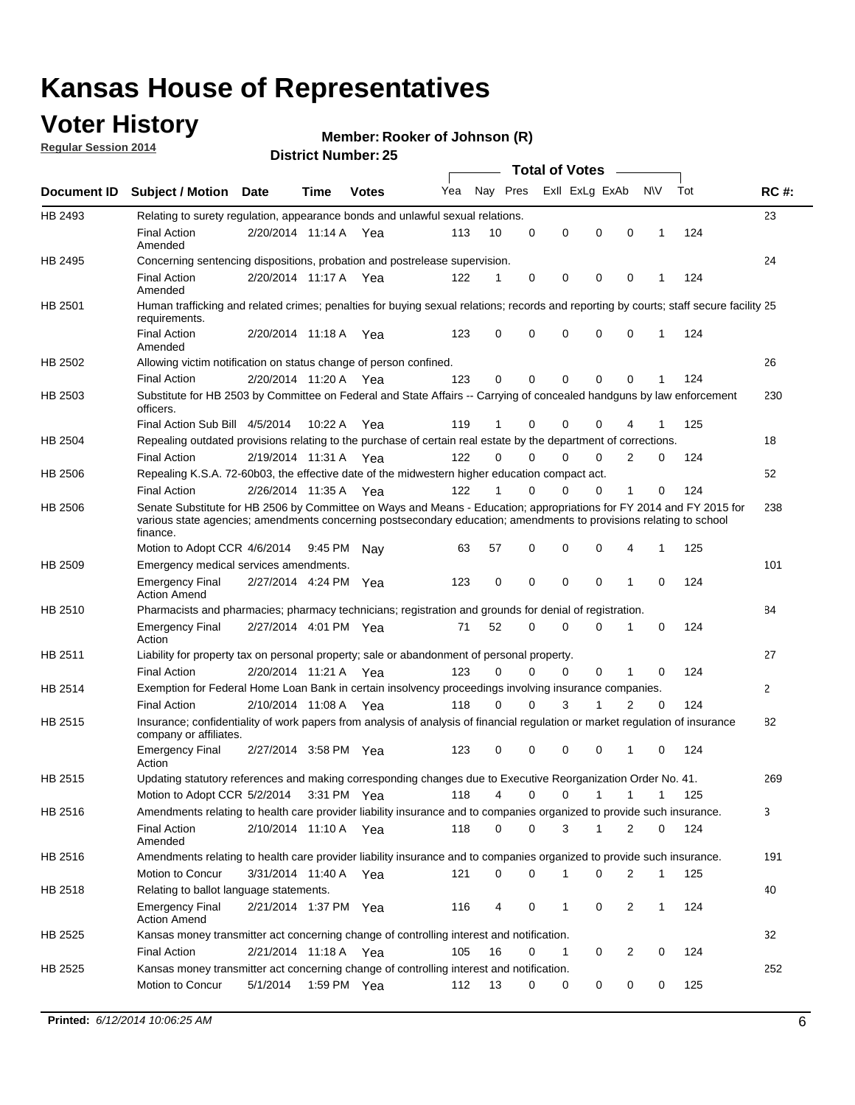### **Voter History**

**Regular Session 2014**

#### **Member: Rooker of Johnson (R)**

|                    |                                                                                                                                                                                                                                                        |                       |             |              |     |          |          | <b>Total of Votes</b> |              |                |              |     |              |
|--------------------|--------------------------------------------------------------------------------------------------------------------------------------------------------------------------------------------------------------------------------------------------------|-----------------------|-------------|--------------|-----|----------|----------|-----------------------|--------------|----------------|--------------|-----|--------------|
| <b>Document ID</b> | <b>Subject / Motion Date</b>                                                                                                                                                                                                                           |                       | Time        | <b>Votes</b> | Yea | Nay Pres |          | Exll ExLg ExAb        |              |                | <b>NV</b>    | Tot | <b>RC#:</b>  |
| HB 2493            | Relating to surety regulation, appearance bonds and unlawful sexual relations.                                                                                                                                                                         |                       |             |              |     |          |          |                       |              |                |              |     | 23           |
|                    | <b>Final Action</b><br>Amended                                                                                                                                                                                                                         | 2/20/2014 11:14 A     |             | Yea          | 113 | 10       | 0        | 0                     | $\mathbf 0$  | 0              | $\mathbf 1$  | 124 |              |
| HB 2495            | Concerning sentencing dispositions, probation and postrelease supervision.                                                                                                                                                                             |                       |             |              |     |          |          |                       |              |                |              |     | 24           |
|                    | <b>Final Action</b><br>Amended                                                                                                                                                                                                                         | 2/20/2014 11:17 A Yea |             |              | 122 | 1        | 0        | 0                     | $\mathbf 0$  | $\mathbf 0$    | -1           | 124 |              |
| HB 2501            | Human trafficking and related crimes; penalties for buying sexual relations; records and reporting by courts; staff secure facility 25<br>requirements.                                                                                                |                       |             |              |     |          |          |                       |              |                |              |     |              |
|                    | <b>Final Action</b><br>Amended                                                                                                                                                                                                                         | 2/20/2014 11:18 A Yea |             |              | 123 | $\Omega$ | 0        | 0                     | $\Omega$     | $\mathbf 0$    | 1            | 124 |              |
| HB 2502            | Allowing victim notification on status change of person confined.                                                                                                                                                                                      |                       |             |              |     |          |          |                       |              |                |              |     | 26           |
|                    | <b>Final Action</b>                                                                                                                                                                                                                                    | 2/20/2014 11:20 A Yea |             |              | 123 | $\Omega$ | 0        | $\mathbf{0}$          | $\Omega$     | $\Omega$       |              | 124 |              |
| HB 2503            | Substitute for HB 2503 by Committee on Federal and State Affairs -- Carrying of concealed handguns by law enforcement<br>officers.                                                                                                                     |                       |             |              |     |          |          |                       |              |                |              |     | 230          |
|                    | Final Action Sub Bill 4/5/2014                                                                                                                                                                                                                         |                       | 10:22 A     | Yea          | 119 |          | 0        | 0                     | 0            | 4              |              | 125 |              |
| HB 2504            | Repealing outdated provisions relating to the purchase of certain real estate by the department of corrections.                                                                                                                                        |                       |             |              |     |          |          |                       |              |                |              |     | 18           |
|                    | <b>Final Action</b>                                                                                                                                                                                                                                    | 2/19/2014 11:31 A Yea |             |              | 122 | $\Omega$ | $\Omega$ | 0                     | $\mathbf{0}$ | $\overline{2}$ | 0            | 124 |              |
| HB 2506            | Repealing K.S.A. 72-60b03, the effective date of the midwestern higher education compact act.                                                                                                                                                          |                       |             |              |     |          |          |                       |              |                |              |     | 52           |
|                    | <b>Final Action</b>                                                                                                                                                                                                                                    | 2/26/2014 11:35 A Yea |             |              | 122 |          | $\Omega$ | 0                     | 0            | 1              | 0            | 124 |              |
| HB 2506            | Senate Substitute for HB 2506 by Committee on Ways and Means - Education; appropriations for FY 2014 and FY 2015 for<br>various state agencies; amendments concerning postsecondary education; amendments to provisions relating to school<br>finance. |                       |             |              |     |          |          |                       |              |                |              |     | 238          |
|                    | Motion to Adopt CCR 4/6/2014                                                                                                                                                                                                                           |                       | 9:45 PM Nav |              | 63  | 57       | 0        | 0                     | 0            | 4              | -1           | 125 |              |
| HB 2509            | Emergency medical services amendments.                                                                                                                                                                                                                 |                       |             |              |     |          |          |                       |              |                |              |     | 101          |
|                    | Emergency Final<br><b>Action Amend</b>                                                                                                                                                                                                                 | 2/27/2014 4:24 PM Yea |             |              | 123 | 0        | 0        | $\mathbf 0$           | 0            | 1              | 0            | 124 |              |
| HB 2510            | Pharmacists and pharmacies; pharmacy technicians; registration and grounds for denial of registration.                                                                                                                                                 |                       |             |              |     |          |          |                       |              |                |              |     | 84           |
|                    | <b>Emergency Final</b><br>Action                                                                                                                                                                                                                       | 2/27/2014 4:01 PM Yea |             |              | 71  | 52       | 0        | 0                     | 0            | 1              | 0            | 124 |              |
| HB 2511            | Liability for property tax on personal property; sale or abandonment of personal property.                                                                                                                                                             |                       |             |              |     |          |          |                       |              |                |              |     | 27           |
|                    | <b>Final Action</b>                                                                                                                                                                                                                                    | 2/20/2014 11:21 A     |             | Yea          | 123 | $\Omega$ | $\Omega$ | 0                     | 0            | 1              | 0            | 124 |              |
| HB 2514            | Exemption for Federal Home Loan Bank in certain insolvency proceedings involving insurance companies.                                                                                                                                                  |                       |             |              |     |          |          |                       |              |                |              |     | $\mathbf{2}$ |
|                    | <b>Final Action</b>                                                                                                                                                                                                                                    | 2/10/2014 11:08 A     |             | Yea          | 118 | $\Omega$ | $\Omega$ | 3                     | 1            | 2              | $\mathbf 0$  | 124 |              |
| HB 2515            | Insurance; confidentiality of work papers from analysis of analysis of financial regulation or market regulation of insurance<br>company or affiliates.                                                                                                |                       |             |              |     |          |          |                       |              |                |              |     | 82           |
|                    | <b>Emergency Final</b><br>Action                                                                                                                                                                                                                       | 2/27/2014 3:58 PM Yea |             |              | 123 | 0        | 0        | 0                     | 0            | 1              | 0            | 124 |              |
| HB 2515            | Updating statutory references and making corresponding changes due to Executive Reorganization Order No. 41.                                                                                                                                           |                       |             |              |     |          |          |                       |              |                |              |     | 269          |
|                    | Motion to Adopt CCR 5/2/2014 3:31 PM Yea                                                                                                                                                                                                               |                       |             |              | 118 | 4        | 0        | 0                     | $\mathbf{1}$ | $\mathbf{1}$   | $\mathbf{1}$ | 125 |              |
| HB 2516            | Amendments relating to health care provider liability insurance and to companies organized to provide such insurance.                                                                                                                                  |                       |             |              |     |          |          |                       |              |                |              |     | 3            |
|                    | <b>Final Action</b><br>Amended                                                                                                                                                                                                                         | 2/10/2014 11:10 A Yea |             |              | 118 | 0        | 0        | 3                     | 1            | 2              | 0            | 124 |              |
| HB 2516            | Amendments relating to health care provider liability insurance and to companies organized to provide such insurance.                                                                                                                                  |                       |             |              |     |          |          |                       |              |                |              |     | 191          |
|                    | Motion to Concur                                                                                                                                                                                                                                       | 3/31/2014 11:40 A Yea |             |              | 121 | 0        | 0        | 1                     | 0            | 2              | $\mathbf{1}$ | 125 |              |
| HB 2518            | Relating to ballot language statements.                                                                                                                                                                                                                |                       |             |              |     |          |          |                       |              |                |              |     | 40           |
|                    | Emergency Final<br><b>Action Amend</b>                                                                                                                                                                                                                 | 2/21/2014 1:37 PM Yea |             |              | 116 | 4        | 0        | 1                     | 0            | 2              | 1            | 124 |              |
| HB 2525            | Kansas money transmitter act concerning change of controlling interest and notification.                                                                                                                                                               |                       |             |              |     |          |          |                       |              |                |              |     | 32           |
|                    | <b>Final Action</b>                                                                                                                                                                                                                                    | 2/21/2014 11:18 A Yea |             |              | 105 | 16       | 0        | 1                     | 0            | 2              | 0            | 124 |              |
| HB 2525            | Kansas money transmitter act concerning change of controlling interest and notification.                                                                                                                                                               |                       |             |              |     |          |          |                       |              |                |              |     | 252          |
|                    | Motion to Concur                                                                                                                                                                                                                                       | 5/1/2014              |             | 1:59 PM Yea  | 112 | 13       | 0        | 0                     | 0            | 0              | 0            | 125 |              |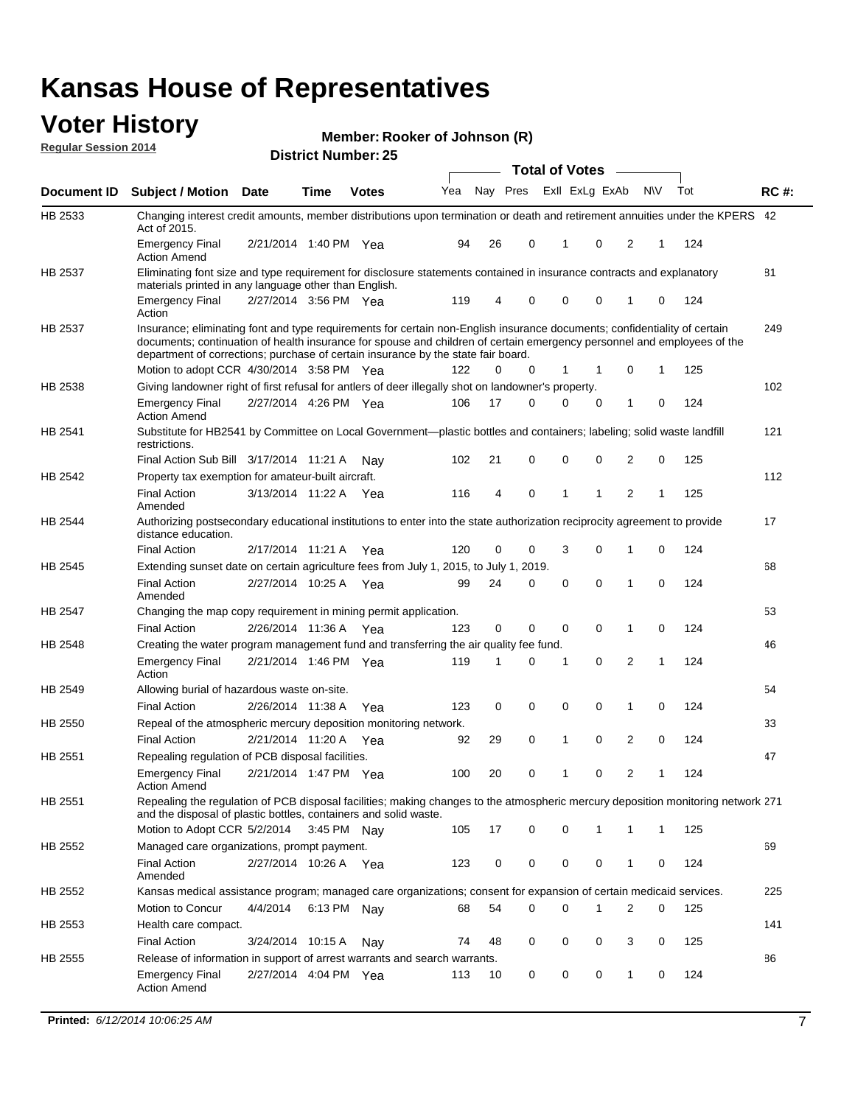#### **Voter History Regular Session 2014**

| Member: Rooker of Johnson (R) |  |
|-------------------------------|--|
|-------------------------------|--|

|             |                                                                                                                                                                                                                                                                                                                                           |                       |             | PISUILU NUIIIDEL. ZJ |     |    |          | <b>Total of Votes</b> |                |           |              |     |             |
|-------------|-------------------------------------------------------------------------------------------------------------------------------------------------------------------------------------------------------------------------------------------------------------------------------------------------------------------------------------------|-----------------------|-------------|----------------------|-----|----|----------|-----------------------|----------------|-----------|--------------|-----|-------------|
| Document ID | <b>Subject / Motion Date</b>                                                                                                                                                                                                                                                                                                              |                       | Time        | <b>Votes</b>         | Yea |    | Nay Pres |                       | Exll ExLg ExAb | <b>NV</b> |              | Tot | <b>RC#:</b> |
| HB 2533     | Changing interest credit amounts, member distributions upon termination or death and retirement annuities under the KPERS 42<br>Act of 2015.                                                                                                                                                                                              |                       |             |                      |     |    |          |                       |                |           |              |     |             |
|             | <b>Emergency Final</b><br><b>Action Amend</b>                                                                                                                                                                                                                                                                                             | 2/21/2014 1:40 PM Yea |             |                      | 94  | 26 | 0        | -1                    | $\mathbf 0$    | 2         | 1            | 124 |             |
| HB 2537     | Eliminating font size and type requirement for disclosure statements contained in insurance contracts and explanatory<br>materials printed in any language other than English.                                                                                                                                                            |                       |             |                      |     |    |          |                       |                |           |              |     | 81          |
|             | <b>Emergency Final</b><br>Action                                                                                                                                                                                                                                                                                                          | 2/27/2014 3:56 PM Yea |             |                      | 119 | 4  | 0        | 0                     | $\mathbf 0$    | 1         | 0            | 124 |             |
| HB 2537     | Insurance; eliminating font and type requirements for certain non-English insurance documents; confidentiality of certain<br>documents; continuation of health insurance for spouse and children of certain emergency personnel and employees of the<br>department of corrections; purchase of certain insurance by the state fair board. |                       |             |                      |     |    |          |                       |                |           |              |     | 249         |
|             | Motion to adopt CCR 4/30/2014 3:58 PM Yea                                                                                                                                                                                                                                                                                                 |                       |             |                      | 122 | 0  | 0        | 1                     | 1              | 0         | 1            | 125 |             |
| HB 2538     | Giving landowner right of first refusal for antlers of deer illegally shot on landowner's property.                                                                                                                                                                                                                                       |                       |             |                      |     |    |          |                       |                |           |              |     | 102         |
|             | <b>Emergency Final</b><br><b>Action Amend</b>                                                                                                                                                                                                                                                                                             | 2/27/2014 4:26 PM Yea |             |                      | 106 | 17 | 0        | 0                     | 0              | 1         | 0            | 124 |             |
| HB 2541     | Substitute for HB2541 by Committee on Local Government—plastic bottles and containers; labeling; solid waste landfill<br>restrictions.                                                                                                                                                                                                    |                       |             |                      |     |    |          |                       |                |           |              |     | 121         |
|             | Final Action Sub Bill 3/17/2014 11:21 A                                                                                                                                                                                                                                                                                                   |                       |             | Nay                  | 102 | 21 | 0        | $\mathbf 0$           | 0              | 2         | 0            | 125 |             |
| HB 2542     | Property tax exemption for amateur-built aircraft.                                                                                                                                                                                                                                                                                        |                       |             |                      |     |    |          |                       |                |           |              |     | 112         |
|             | <b>Final Action</b><br>Amended                                                                                                                                                                                                                                                                                                            | 3/13/2014 11:22 A Yea |             |                      | 116 | 4  | 0        | $\mathbf{1}$          | 1              | 2         | 1            | 125 |             |
| HB 2544     | Authorizing postsecondary educational institutions to enter into the state authorization reciprocity agreement to provide<br>distance education.                                                                                                                                                                                          |                       |             |                      |     |    |          |                       |                |           |              |     | 17          |
|             | <b>Final Action</b>                                                                                                                                                                                                                                                                                                                       | 2/17/2014 11:21 A Yea |             |                      | 120 | 0  | 0        | 3                     | 0              | 1         | 0            | 124 |             |
| HB 2545     | Extending sunset date on certain agriculture fees from July 1, 2015, to July 1, 2019.                                                                                                                                                                                                                                                     |                       |             |                      |     |    |          |                       |                |           |              |     | 68          |
|             | <b>Final Action</b><br>Amended                                                                                                                                                                                                                                                                                                            | 2/27/2014 10:25 A Yea |             |                      | 99  | 24 | 0        | $\mathbf 0$           | $\Omega$       | 1         | 0            | 124 |             |
| HB 2547     | Changing the map copy requirement in mining permit application.                                                                                                                                                                                                                                                                           |                       |             |                      |     |    |          |                       |                |           |              |     | 53          |
|             | <b>Final Action</b>                                                                                                                                                                                                                                                                                                                       | 2/26/2014 11:36 A     |             | Yea                  | 123 | 0  | 0        | 0                     | 0              | 1         | 0            | 124 |             |
| HB 2548     | Creating the water program management fund and transferring the air quality fee fund.                                                                                                                                                                                                                                                     |                       |             |                      |     |    |          |                       |                |           |              |     | 46          |
|             | <b>Emergency Final</b><br>Action                                                                                                                                                                                                                                                                                                          | 2/21/2014 1:46 PM Yea |             |                      | 119 | 1  | 0        | -1                    | 0              | 2         | $\mathbf{1}$ | 124 |             |
| HB 2549     | Allowing burial of hazardous waste on-site.                                                                                                                                                                                                                                                                                               |                       |             |                      |     |    |          |                       |                |           |              |     | 54          |
|             | <b>Final Action</b>                                                                                                                                                                                                                                                                                                                       | 2/26/2014 11:38 A     |             | Yea                  | 123 | 0  | 0        | 0                     | $\mathbf 0$    | 1         | 0            | 124 |             |
| HB 2550     | Repeal of the atmospheric mercury deposition monitoring network.                                                                                                                                                                                                                                                                          |                       |             |                      |     |    |          |                       |                |           |              |     | 33          |
|             | <b>Final Action</b>                                                                                                                                                                                                                                                                                                                       | 2/21/2014 11:20 A     |             | Yea                  | 92  | 29 | 0        | $\mathbf{1}$          | 0              | 2         | 0            | 124 |             |
| HB 2551     | Repealing regulation of PCB disposal facilities.                                                                                                                                                                                                                                                                                          |                       |             |                      |     |    |          |                       |                |           |              |     | 47          |
|             | <b>Emergency Final</b><br>Action Amend                                                                                                                                                                                                                                                                                                    | 2/21/2014 1:47 PM Yea |             |                      | 100 | 20 | 0        | 1                     | 0              | 2         | 1            | 124 |             |
| HB 2551     | Repealing the regulation of PCB disposal facilities; making changes to the atmospheric mercury deposition monitoring network 271<br>and the disposal of plastic bottles, containers and solid waste.                                                                                                                                      |                       |             |                      |     |    |          |                       |                |           |              |     |             |
|             | Motion to Adopt CCR 5/2/2014 3:45 PM Nav                                                                                                                                                                                                                                                                                                  |                       |             |                      | 105 | 17 | 0        | 0                     | 1              | 1         | 1            | 125 |             |
| HB 2552     | Managed care organizations, prompt payment.                                                                                                                                                                                                                                                                                               |                       |             |                      |     |    |          |                       |                |           |              |     | 69          |
|             | <b>Final Action</b><br>Amended                                                                                                                                                                                                                                                                                                            | 2/27/2014 10:26 A Yea |             |                      | 123 | 0  | 0        | $\mathbf 0$           | 0              | 1         | 0            | 124 |             |
| HB 2552     | Kansas medical assistance program; managed care organizations; consent for expansion of certain medicaid services.                                                                                                                                                                                                                        |                       |             |                      |     |    |          |                       |                |           |              |     | 225         |
|             | Motion to Concur                                                                                                                                                                                                                                                                                                                          | 4/4/2014              | 6:13 PM Nay |                      | 68  | 54 | 0        | 0                     | 1              | 2         | 0            | 125 |             |
| HB 2553     | Health care compact.                                                                                                                                                                                                                                                                                                                      |                       |             |                      |     |    |          |                       |                |           |              |     | 141         |
|             | <b>Final Action</b>                                                                                                                                                                                                                                                                                                                       | 3/24/2014 10:15 A     |             | Nay                  | 74  | 48 | 0        | 0                     | 0              | 3         | 0            | 125 |             |
| HB 2555     | Release of information in support of arrest warrants and search warrants.                                                                                                                                                                                                                                                                 |                       |             |                      |     |    |          |                       |                |           |              |     | 86          |
|             | <b>Emergency Final</b><br><b>Action Amend</b>                                                                                                                                                                                                                                                                                             | 2/27/2014 4:04 PM Yea |             |                      | 113 | 10 | 0        | 0                     | 0              | 1         | 0            | 124 |             |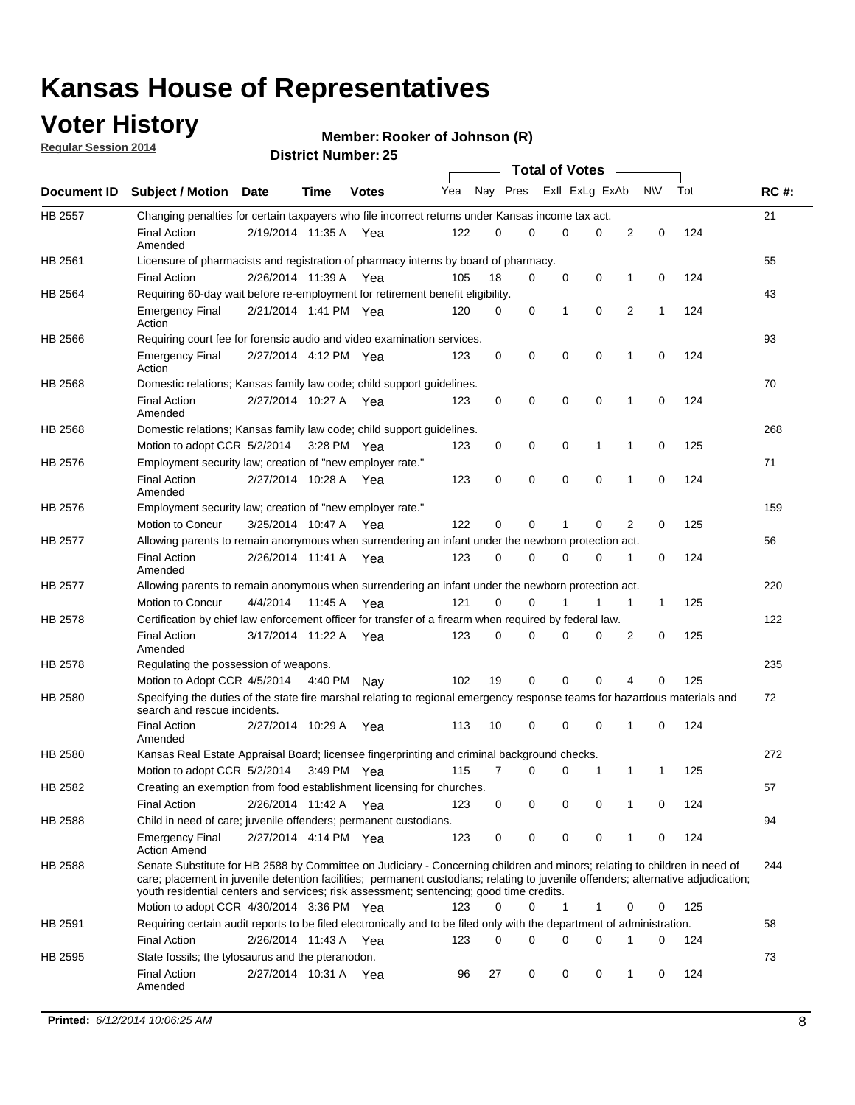### **Voter History**

**Regular Session 2014**

#### **Member: Rooker of Johnson (R)**

|                |                                                                                                                                                                                                                                                                                                                                                           |                       |             |              |     |          |          | <b>Total of Votes</b> |             |              |             |     |             |
|----------------|-----------------------------------------------------------------------------------------------------------------------------------------------------------------------------------------------------------------------------------------------------------------------------------------------------------------------------------------------------------|-----------------------|-------------|--------------|-----|----------|----------|-----------------------|-------------|--------------|-------------|-----|-------------|
|                | Document ID Subject / Motion Date                                                                                                                                                                                                                                                                                                                         |                       | Time        | <b>Votes</b> | Yea | Nay Pres |          | Exll ExLg ExAb        |             |              | N\V         | Tot | <b>RC#:</b> |
| HB 2557        | Changing penalties for certain taxpayers who file incorrect returns under Kansas income tax act.                                                                                                                                                                                                                                                          |                       |             |              |     |          |          |                       |             |              |             |     | 21          |
|                | <b>Final Action</b><br>Amended                                                                                                                                                                                                                                                                                                                            | 2/19/2014 11:35 A     |             | Yea          | 122 | 0        | 0        | 0                     | 0           | 2            | $\mathbf 0$ | 124 |             |
| HB 2561        | Licensure of pharmacists and registration of pharmacy interns by board of pharmacy.                                                                                                                                                                                                                                                                       |                       |             |              |     |          |          |                       |             |              |             |     | 55          |
|                | <b>Final Action</b>                                                                                                                                                                                                                                                                                                                                       | 2/26/2014 11:39 A Yea |             |              | 105 | 18       | 0        | 0                     | 0           | 1            | 0           | 124 |             |
| HB 2564        | Requiring 60-day wait before re-employment for retirement benefit eligibility.                                                                                                                                                                                                                                                                            |                       |             |              |     |          |          |                       |             |              |             |     | 43          |
|                | <b>Emergency Final</b><br>Action                                                                                                                                                                                                                                                                                                                          | 2/21/2014 1:41 PM Yea |             |              | 120 | 0        | 0        | 1                     | 0           | 2            | 1           | 124 |             |
| HB 2566        | Requiring court fee for forensic audio and video examination services.                                                                                                                                                                                                                                                                                    |                       |             |              |     |          |          |                       |             |              |             |     | 93          |
|                | <b>Emergency Final</b><br>Action                                                                                                                                                                                                                                                                                                                          | 2/27/2014 4:12 PM Yea |             |              | 123 | 0        | 0        | $\mathbf 0$           | $\mathbf 0$ | $\mathbf{1}$ | 0           | 124 |             |
| HB 2568        | Domestic relations; Kansas family law code; child support guidelines.                                                                                                                                                                                                                                                                                     |                       |             |              |     |          |          |                       |             |              |             |     | 70          |
|                | <b>Final Action</b><br>Amended                                                                                                                                                                                                                                                                                                                            | 2/27/2014 10:27 A     |             | Yea          | 123 | 0        | 0        | 0                     | $\mathbf 0$ | 1            | 0           | 124 |             |
| HB 2568        | Domestic relations; Kansas family law code; child support guidelines.                                                                                                                                                                                                                                                                                     |                       |             |              |     |          |          |                       |             |              |             |     | 268         |
|                | Motion to adopt CCR 5/2/2014                                                                                                                                                                                                                                                                                                                              |                       | 3:28 PM Yea |              | 123 | 0        | 0        | 0                     | 1           | 1            | 0           | 125 |             |
| HB 2576        | Employment security law; creation of "new employer rate."                                                                                                                                                                                                                                                                                                 |                       |             |              |     |          |          |                       |             |              |             |     | 71          |
|                | <b>Final Action</b><br>Amended                                                                                                                                                                                                                                                                                                                            | 2/27/2014 10:28 A     |             | Yea          | 123 | 0        | 0        | 0                     | $\mathbf 0$ | 1            | 0           | 124 |             |
| HB 2576        | Employment security law; creation of "new employer rate."                                                                                                                                                                                                                                                                                                 |                       |             |              |     |          |          |                       |             |              |             |     | 159         |
|                | Motion to Concur                                                                                                                                                                                                                                                                                                                                          | 3/25/2014 10:47 A     |             | Yea          | 122 | 0        | 0        | 1                     | 0           | 2            | 0           | 125 |             |
| <b>HB 2577</b> | Allowing parents to remain anonymous when surrendering an infant under the newborn protection act.                                                                                                                                                                                                                                                        |                       |             |              |     |          |          |                       |             |              |             |     | 56          |
|                | <b>Final Action</b><br>Amended                                                                                                                                                                                                                                                                                                                            | 2/26/2014 11:41 A Yea |             |              | 123 | 0        | $\Omega$ | 0                     | 0           | 1            | 0           | 124 |             |
| HB 2577        | Allowing parents to remain anonymous when surrendering an infant under the newborn protection act.                                                                                                                                                                                                                                                        |                       |             |              |     |          |          |                       |             |              |             |     | 220         |
|                | Motion to Concur                                                                                                                                                                                                                                                                                                                                          | 4/4/2014              | 11:45 A     | Yea          | 121 | 0        | 0        |                       | 1           | 1            | $\mathbf 1$ | 125 |             |
| HB 2578        | Certification by chief law enforcement officer for transfer of a firearm when required by federal law.                                                                                                                                                                                                                                                    |                       |             |              |     |          |          |                       |             |              |             |     | 122         |
|                | <b>Final Action</b><br>Amended                                                                                                                                                                                                                                                                                                                            | 3/17/2014 11:22 A     |             | Yea          | 123 | 0        | 0        | $\Omega$              | $\Omega$    | 2            | 0           | 125 |             |
| HB 2578        | Regulating the possession of weapons.                                                                                                                                                                                                                                                                                                                     |                       |             |              |     |          |          |                       |             |              |             |     | 235         |
|                | Motion to Adopt CCR 4/5/2014 4:40 PM Nay                                                                                                                                                                                                                                                                                                                  |                       |             |              | 102 | 19       | 0        | 0                     | 0           | 4            | 0           | 125 |             |
| HB 2580        | Specifying the duties of the state fire marshal relating to regional emergency response teams for hazardous materials and<br>search and rescue incidents.                                                                                                                                                                                                 |                       |             |              |     |          |          |                       |             |              |             |     | 72          |
|                | <b>Final Action</b><br>Amended                                                                                                                                                                                                                                                                                                                            | 2/27/2014 10:29 A     |             | Yea          | 113 | 10       | 0        | $\mathbf 0$           | $\mathbf 0$ | 1            | 0           | 124 |             |
| HB 2580        | Kansas Real Estate Appraisal Board; licensee fingerprinting and criminal background checks.                                                                                                                                                                                                                                                               |                       |             |              |     |          |          |                       |             |              |             |     | 272         |
|                | Motion to adopt CCR 5/2/2014                                                                                                                                                                                                                                                                                                                              |                       | 3:49 PM Yea |              | 115 | 7        | 0        | 0                     | 1           | 1            | 1           | 125 |             |
| HB 2582        | Creating an exemption from food establishment licensing for churches.                                                                                                                                                                                                                                                                                     |                       |             |              |     |          |          |                       |             |              |             |     | 57          |
|                | <b>Final Action</b>                                                                                                                                                                                                                                                                                                                                       | 2/26/2014 11:42 A Yea |             |              | 123 | 0        | 0        | 0                     | 0           |              | 0           | 124 |             |
| HB 2588        | Child in need of care; juvenile offenders; permanent custodians.                                                                                                                                                                                                                                                                                          |                       |             |              |     |          |          |                       |             |              |             |     | 94          |
|                | <b>Emergency Final</b><br><b>Action Amend</b>                                                                                                                                                                                                                                                                                                             | 2/27/2014 4:14 PM Yea |             |              | 123 | 0        | 0        | 0                     | 0           | 1            | 0           | 124 |             |
| HB 2588        | Senate Substitute for HB 2588 by Committee on Judiciary - Concerning children and minors; relating to children in need of<br>care; placement in juvenile detention facilities; permanent custodians; relating to juvenile offenders; alternative adjudication;<br>youth residential centers and services; risk assessment; sentencing; good time credits. |                       |             |              |     |          |          |                       |             |              |             |     | 244         |
|                | Motion to adopt CCR 4/30/2014 3:36 PM Yea                                                                                                                                                                                                                                                                                                                 |                       |             |              | 123 | 0        | 0        | 1                     | 1           | 0            | 0           | 125 |             |
| HB 2591        | Requiring certain audit reports to be filed electronically and to be filed only with the department of administration.                                                                                                                                                                                                                                    |                       |             |              |     |          |          |                       |             |              |             |     | 58          |
|                | <b>Final Action</b>                                                                                                                                                                                                                                                                                                                                       | 2/26/2014 11:43 A Yea |             |              | 123 | 0        | 0        | 0                     | 0           | 1            | 0           | 124 |             |
| HB 2595        | State fossils; the tylosaurus and the pteranodon.                                                                                                                                                                                                                                                                                                         |                       |             |              |     |          |          |                       |             |              |             |     | 73          |
|                | <b>Final Action</b><br>Amended                                                                                                                                                                                                                                                                                                                            | 2/27/2014 10:31 A Yea |             |              | 96  | 27       | 0        | 0                     | 0           | 1            | 0           | 124 |             |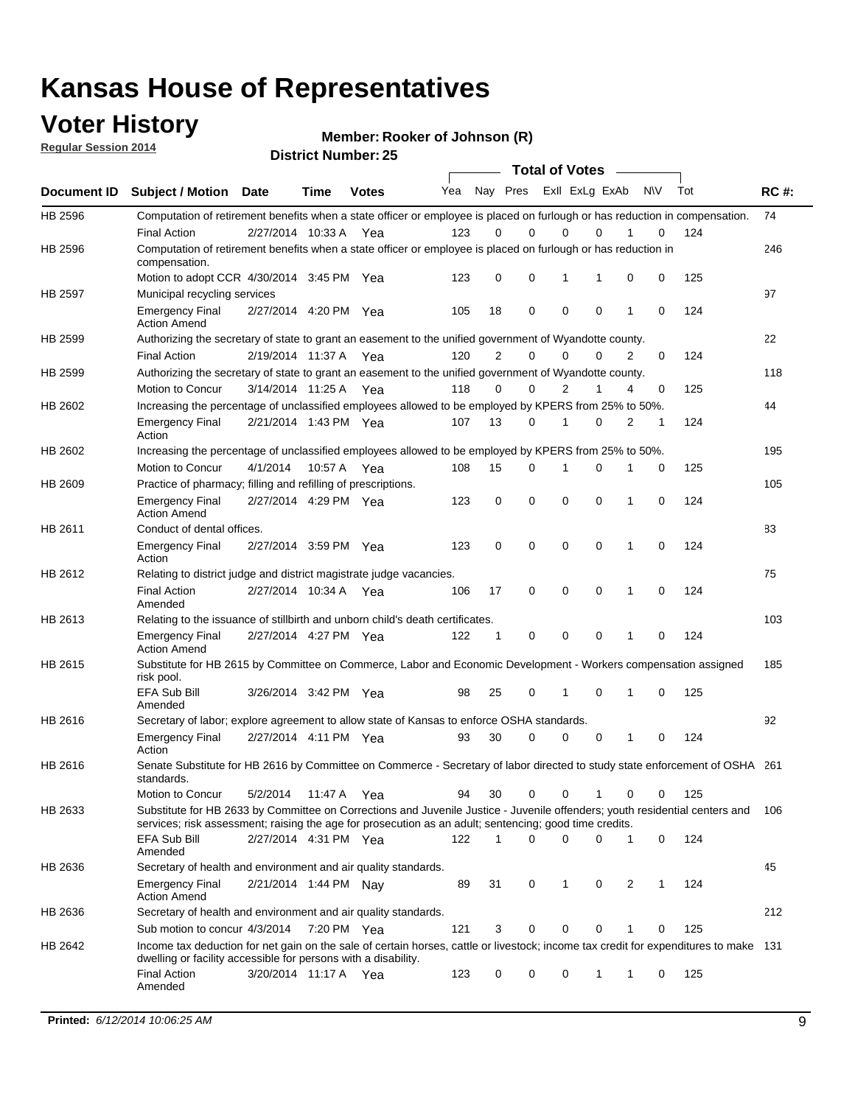### **Voter History**

**Regular Session 2014**

**Member: Rooker of Johnson (R)** 

|             |                                                                                                                                                                                                                                       |                       |             |              |     |                |             | <b>Total of Votes</b> |             |              |          |     |             |
|-------------|---------------------------------------------------------------------------------------------------------------------------------------------------------------------------------------------------------------------------------------|-----------------------|-------------|--------------|-----|----------------|-------------|-----------------------|-------------|--------------|----------|-----|-------------|
| Document ID | <b>Subject / Motion Date</b>                                                                                                                                                                                                          |                       | Time        | <b>Votes</b> | Yea |                | Nay Pres    | Exll ExLg ExAb        |             | <b>NV</b>    |          | Tot | <b>RC#:</b> |
| HB 2596     | Computation of retirement benefits when a state officer or employee is placed on furlough or has reduction in compensation.                                                                                                           |                       |             |              |     |                |             |                       |             |              |          |     | 74          |
|             | <b>Final Action</b>                                                                                                                                                                                                                   | 2/27/2014 10:33 A     |             | Yea          | 123 | 0              | $\Omega$    | 0                     | $\Omega$    |              | 0        | 124 |             |
| HB 2596     | Computation of retirement benefits when a state officer or employee is placed on furlough or has reduction in<br>compensation.                                                                                                        |                       |             |              |     |                |             |                       |             |              |          |     | 246         |
|             | Motion to adopt CCR 4/30/2014 3:45 PM Yea                                                                                                                                                                                             |                       |             |              | 123 | 0              | 0           | 1                     |             | 0            | 0        | 125 |             |
| HB 2597     | Municipal recycling services                                                                                                                                                                                                          |                       |             |              |     |                |             |                       |             |              |          |     | 97          |
|             | <b>Emergency Final</b><br><b>Action Amend</b>                                                                                                                                                                                         | 2/27/2014 4:20 PM Yea |             |              | 105 | 18             | 0           | $\mathbf 0$           | $\mathbf 0$ | 1            | 0        | 124 |             |
| HB 2599     | Authorizing the secretary of state to grant an easement to the unified government of Wyandotte county.                                                                                                                                |                       |             |              |     |                |             |                       |             |              |          |     | 22          |
|             | <b>Final Action</b>                                                                                                                                                                                                                   | 2/19/2014 11:37 A Yea |             |              | 120 | $\overline{2}$ | 0           | $\Omega$              | 0           | 2            | 0        | 124 |             |
| HB 2599     | Authorizing the secretary of state to grant an easement to the unified government of Wyandotte county.                                                                                                                                |                       |             |              |     |                |             |                       |             |              |          |     | 118         |
|             | Motion to Concur                                                                                                                                                                                                                      | 3/14/2014 11:25 A Yea |             |              | 118 | 0              | 0           | $\overline{2}$        | 1           | 4            | 0        | 125 |             |
| HB 2602     | Increasing the percentage of unclassified employees allowed to be employed by KPERS from 25% to 50%.                                                                                                                                  |                       |             |              |     |                |             |                       |             |              |          |     | 44          |
|             | <b>Emergency Final</b><br>Action                                                                                                                                                                                                      | 2/21/2014 1:43 PM Yea |             |              | 107 | 13             | 0           | 1                     | 0           | 2            | 1        | 124 |             |
| HB 2602     | Increasing the percentage of unclassified employees allowed to be employed by KPERS from 25% to 50%.                                                                                                                                  |                       |             |              |     |                |             |                       |             |              |          |     | 195         |
|             | Motion to Concur                                                                                                                                                                                                                      | 4/1/2014              | 10:57 A     | Yea          | 108 | 15             | 0           | 1                     | 0           | 1            | 0        | 125 |             |
| HB 2609     | Practice of pharmacy; filling and refilling of prescriptions.                                                                                                                                                                         |                       |             |              |     |                |             |                       |             |              |          |     | 105         |
|             | <b>Emergency Final</b><br><b>Action Amend</b>                                                                                                                                                                                         | 2/27/2014 4:29 PM Yea |             |              | 123 | 0              | $\mathbf 0$ | $\mathbf 0$           | 0           | $\mathbf{1}$ | 0        | 124 |             |
| HB 2611     | Conduct of dental offices.                                                                                                                                                                                                            |                       |             |              |     |                |             |                       |             |              |          |     | 83          |
|             | <b>Emergency Final</b><br>Action                                                                                                                                                                                                      | 2/27/2014 3:59 PM Yea |             |              | 123 | 0              | $\mathbf 0$ | $\mathbf 0$           | 0           | $\mathbf{1}$ | 0        | 124 |             |
| HB 2612     | Relating to district judge and district magistrate judge vacancies.                                                                                                                                                                   |                       |             |              |     |                |             |                       |             |              |          |     | 75          |
|             | <b>Final Action</b><br>Amended                                                                                                                                                                                                        | 2/27/2014 10:34 A     |             | Yea          | 106 | 17             | $\mathbf 0$ | $\mathbf 0$           | 0           | 1            | $\Omega$ | 124 |             |
| HB 2613     | Relating to the issuance of stillbirth and unborn child's death certificates.                                                                                                                                                         |                       |             |              |     |                |             |                       |             |              |          |     | 103         |
|             | <b>Emergency Final</b><br><b>Action Amend</b>                                                                                                                                                                                         | 2/27/2014 4:27 PM Yea |             |              | 122 | $\mathbf 1$    | 0           | 0                     | 0           | 1            | 0        | 124 |             |
| HB 2615     | Substitute for HB 2615 by Committee on Commerce, Labor and Economic Development - Workers compensation assigned<br>risk pool.                                                                                                         |                       |             |              |     |                |             |                       |             |              |          |     | 185         |
|             | <b>EFA Sub Bill</b><br>Amended                                                                                                                                                                                                        | 3/26/2014 3:42 PM Yea |             |              | 98  | 25             | 0           | 1                     | 0           | 1            | 0        | 125 |             |
| HB 2616     | Secretary of labor; explore agreement to allow state of Kansas to enforce OSHA standards.                                                                                                                                             |                       |             |              |     |                |             |                       |             |              |          |     | 92          |
|             | <b>Emergency Final</b><br>Action                                                                                                                                                                                                      | 2/27/2014 4:11 PM Yea |             |              | 93  | 30             | 0           | 0                     | 0           | 1            | 0        | 124 |             |
| HB 2616     | Senate Substitute for HB 2616 by Committee on Commerce - Secretary of labor directed to study state enforcement of OSHA 261<br>standards.                                                                                             |                       |             |              |     |                |             |                       |             |              |          |     |             |
|             | Motion to Concur                                                                                                                                                                                                                      | 5/2/2014              | 11:47 A Yea |              | 94  | 30             | 0           | $\mathbf 0$           | 1           | 0            | 0        | 125 |             |
| HB 2633     | Substitute for HB 2633 by Committee on Corrections and Juvenile Justice - Juvenile offenders; youth residential centers and<br>services; risk assessment; raising the age for prosecution as an adult; sentencing; good time credits. |                       |             |              |     |                |             |                       |             |              |          |     | 106         |
|             | <b>EFA Sub Bill</b><br>Amended                                                                                                                                                                                                        | 2/27/2014 4:31 PM Yea |             |              | 122 | 1              | 0           | $\mathbf 0$           | 0           | 1            | 0        | 124 |             |
| HB 2636     | Secretary of health and environment and air quality standards.                                                                                                                                                                        |                       |             |              |     |                |             |                       |             |              |          |     | 45          |
|             | <b>Emergency Final</b><br><b>Action Amend</b>                                                                                                                                                                                         | 2/21/2014 1:44 PM Nay |             |              | 89  | 31             | 0           | 1                     | 0           | 2            | 1        | 124 |             |
| HB 2636     | Secretary of health and environment and air quality standards.                                                                                                                                                                        |                       |             |              |     |                |             |                       |             |              |          |     | 212         |
|             | Sub motion to concur 4/3/2014                                                                                                                                                                                                         |                       | 7:20 PM Yea |              | 121 | 3              | 0           | 0                     | 0           | 1            | 0        | 125 |             |
| HB 2642     | Income tax deduction for net gain on the sale of certain horses, cattle or livestock; income tax credit for expenditures to make 131<br>dwelling or facility accessible for persons with a disability.                                |                       |             |              |     |                |             |                       |             |              |          |     |             |
|             | <b>Final Action</b><br>Amended                                                                                                                                                                                                        | 3/20/2014 11:17 A Yea |             |              | 123 | 0              | 0           | 0                     | 1           | 1            | 0        | 125 |             |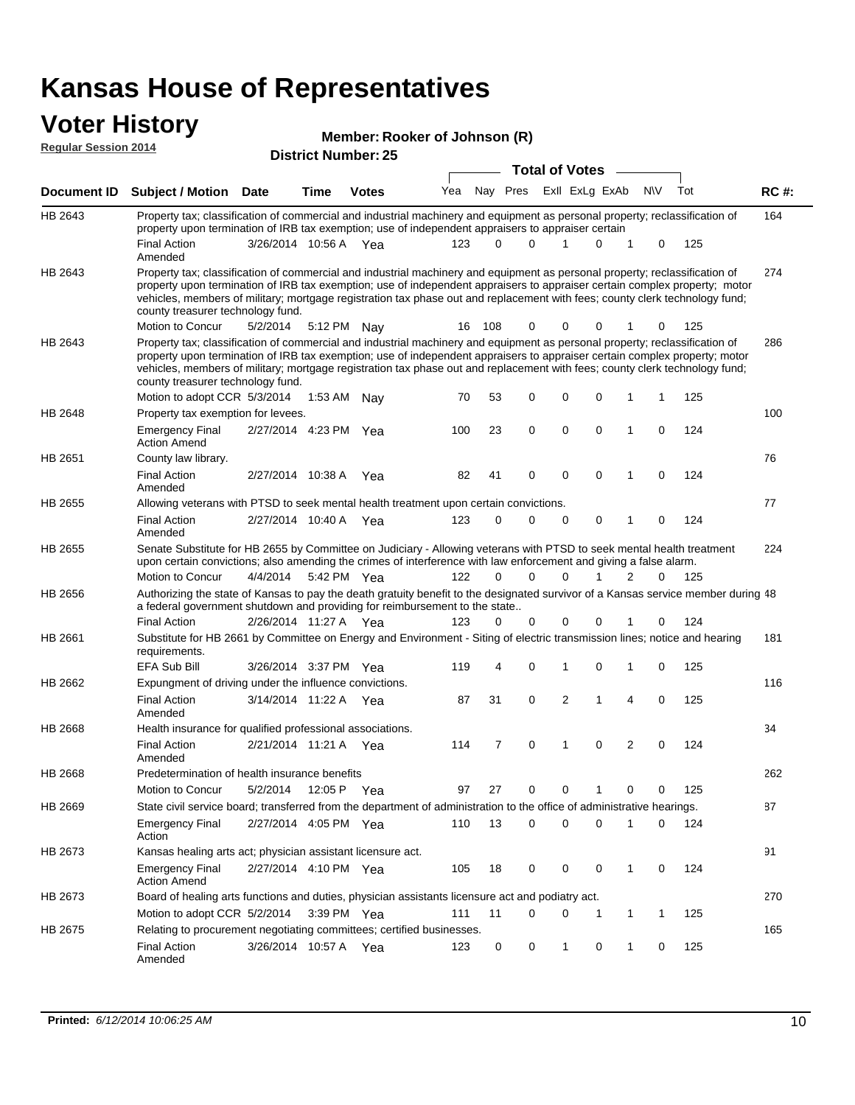#### **Voter History**

| <b>VULGE LIBERTY</b><br><b>Regular Session 2014</b> | Member: Rooker of Johnson (R)<br><b>District Number: 25</b>                                                                                                                                                                                                                                                                                                                                                                   |                       |             |              |                       |          |          |  |                |   |              |             |     |             |
|-----------------------------------------------------|-------------------------------------------------------------------------------------------------------------------------------------------------------------------------------------------------------------------------------------------------------------------------------------------------------------------------------------------------------------------------------------------------------------------------------|-----------------------|-------------|--------------|-----------------------|----------|----------|--|----------------|---|--------------|-------------|-----|-------------|
|                                                     |                                                                                                                                                                                                                                                                                                                                                                                                                               |                       |             |              | <b>Total of Votes</b> |          |          |  |                |   |              |             |     |             |
| Document ID                                         | Subject / Motion Date                                                                                                                                                                                                                                                                                                                                                                                                         |                       | Time        | <b>Votes</b> | Yea                   |          | Nay Pres |  | Exll ExLg ExAb |   |              | <b>NV</b>   | Tot | <b>RC#:</b> |
| HB 2643                                             | Property tax; classification of commercial and industrial machinery and equipment as personal property; reclassification of<br>property upon termination of IRB tax exemption; use of independent appraisers to appraiser certain                                                                                                                                                                                             |                       |             |              |                       |          |          |  |                |   |              |             |     | 164         |
|                                                     | <b>Final Action</b><br>Amended                                                                                                                                                                                                                                                                                                                                                                                                | 3/26/2014 10:56 A     |             | Yea          | 123                   | $\Omega$ | $\Omega$ |  |                | 0 | 1            | 0           | 125 |             |
| HB 2643                                             | Property tax; classification of commercial and industrial machinery and equipment as personal property; reclassification of<br>property upon termination of IRB tax exemption; use of independent appraisers to appraiser certain complex property; motor<br>vehicles, members of military; mortgage registration tax phase out and replacement with fees; county clerk technology fund;<br>county treasurer technology fund. |                       |             |              |                       |          |          |  |                |   |              |             |     | 274         |
|                                                     | Motion to Concur                                                                                                                                                                                                                                                                                                                                                                                                              | 5/2/2014              | 5:12 PM Nay |              | 16                    | 108      | 0        |  | 0              | 0 |              | 0           | 125 |             |
| HB 2643                                             | Property tax; classification of commercial and industrial machinery and equipment as personal property; reclassification of<br>property upon termination of IRB tax exemption; use of independent appraisers to appraiser certain complex property; motor<br>vehicles, members of military; mortgage registration tax phase out and replacement with fees; county clerk technology fund;<br>county treasurer technology fund. |                       |             |              |                       |          |          |  |                |   |              |             |     | 286         |
|                                                     | Motion to adopt CCR 5/3/2014                                                                                                                                                                                                                                                                                                                                                                                                  |                       | 1:53 AM     | Nav          | 70                    | 53       | 0        |  | 0              | 0 | 1            | 1           | 125 |             |
| HB 2648                                             | Property tax exemption for levees.                                                                                                                                                                                                                                                                                                                                                                                            |                       |             |              |                       |          |          |  |                |   |              |             |     | 100         |
|                                                     | <b>Emergency Final</b><br><b>Action Amend</b>                                                                                                                                                                                                                                                                                                                                                                                 | 2/27/2014 4:23 PM Yea |             |              | 100                   | 23       | 0        |  | 0              | 0 | 1            | 0           | 124 |             |
| HB 2651                                             | County law library.                                                                                                                                                                                                                                                                                                                                                                                                           |                       |             |              |                       |          |          |  |                |   |              |             |     | 76          |
|                                                     | <b>Final Action</b><br>Amended                                                                                                                                                                                                                                                                                                                                                                                                | 2/27/2014 10:38 A     |             | Yea          | 82                    | 41       | 0        |  | $\mathbf 0$    | 0 | 1            | $\mathbf 0$ | 124 |             |
| HB 2655                                             | Allowing veterans with PTSD to seek mental health treatment upon certain convictions.                                                                                                                                                                                                                                                                                                                                         |                       |             |              |                       |          |          |  |                |   |              |             |     | 77          |
|                                                     | <b>Final Action</b><br>Amended                                                                                                                                                                                                                                                                                                                                                                                                | 2/27/2014 10:40 A     |             | Yea          | 123                   | 0        | 0        |  | 0              | 0 | 1            | 0           | 124 |             |
| HB 2655                                             | Senate Substitute for HB 2655 by Committee on Judiciary - Allowing veterans with PTSD to seek mental health treatment<br>upon certain convictions; also amending the crimes of interference with law enforcement and giving a false alarm.                                                                                                                                                                                    |                       |             |              |                       |          |          |  |                |   |              |             |     | 224         |
|                                                     | <b>Motion to Concur</b>                                                                                                                                                                                                                                                                                                                                                                                                       | 4/4/2014              | 5:42 PM Yea |              | 122                   | $\Omega$ | 0        |  | $\Omega$       | 1 | 2            | 0           | 125 |             |
| HB 2656                                             | Authorizing the state of Kansas to pay the death gratuity benefit to the designated survivor of a Kansas service member during 48<br>a federal government shutdown and providing for reimbursement to the state                                                                                                                                                                                                               |                       |             |              |                       |          |          |  |                |   |              |             |     |             |
|                                                     | <b>Final Action</b>                                                                                                                                                                                                                                                                                                                                                                                                           | 2/26/2014 11:27 A Yea |             |              | 123                   | 0        | 0        |  | 0              | 0 |              | 0           | 124 |             |
| HB 2661                                             | Substitute for HB 2661 by Committee on Energy and Environment - Siting of electric transmission lines; notice and hearing<br>requirements.                                                                                                                                                                                                                                                                                    |                       |             |              |                       |          |          |  |                |   |              |             |     | 181         |
|                                                     | <b>EFA Sub Bill</b>                                                                                                                                                                                                                                                                                                                                                                                                           | 3/26/2014 3:37 PM     |             | Yea          | 119                   | 4        | 0        |  | 1              | 0 | 1            | 0           | 125 |             |
| HB 2662                                             | Expungment of driving under the influence convictions.<br><b>Final Action</b>                                                                                                                                                                                                                                                                                                                                                 | 3/14/2014 11:22 A     |             | Yea          | 87                    | 31       | 0        |  | $\overline{2}$ | 1 | 4            | $\mathbf 0$ | 125 | 116         |
| HB 2668                                             | Amended                                                                                                                                                                                                                                                                                                                                                                                                                       |                       |             |              |                       |          |          |  |                |   |              |             |     | 34          |
|                                                     | Health insurance for qualified professional associations.<br><b>Final Action</b><br>Amended                                                                                                                                                                                                                                                                                                                                   | 2/21/2014 11:21 A     |             | Yea          | 114                   | 7        | 0        |  | 1              | 0 | 2            | 0           | 124 |             |
| HB 2668                                             | Predetermination of health insurance benefits                                                                                                                                                                                                                                                                                                                                                                                 |                       |             |              |                       |          |          |  |                |   |              |             |     | 262         |
|                                                     | Motion to Concur                                                                                                                                                                                                                                                                                                                                                                                                              | 5/2/2014              | 12:05 P     | Yea          | 97                    | 27       | 0        |  | 0              | 1 | 0            | 0           | 125 |             |
| HB 2669                                             | State civil service board; transferred from the department of administration to the office of administrative hearings.                                                                                                                                                                                                                                                                                                        |                       |             |              |                       |          |          |  |                |   |              |             |     | 87          |
|                                                     | <b>Emergency Final</b><br>Action                                                                                                                                                                                                                                                                                                                                                                                              | 2/27/2014 4:05 PM Yea |             |              | 110                   | 13       | 0        |  | $\mathbf 0$    | 0 | 1            | 0           | 124 |             |
| HB 2673                                             | Kansas healing arts act; physician assistant licensure act.                                                                                                                                                                                                                                                                                                                                                                   |                       |             |              |                       |          |          |  |                |   |              |             |     | 91          |
|                                                     | <b>Emergency Final</b><br><b>Action Amend</b>                                                                                                                                                                                                                                                                                                                                                                                 | 2/27/2014 4:10 PM Yea |             |              | 105                   | 18       | 0        |  | 0              | 0 | 1            | 0           | 124 |             |
| HB 2673                                             | Board of healing arts functions and duties, physician assistants licensure act and podiatry act.                                                                                                                                                                                                                                                                                                                              |                       |             |              |                       |          |          |  |                |   |              |             |     | 270         |
|                                                     | Motion to adopt CCR 5/2/2014 3:39 PM Yea                                                                                                                                                                                                                                                                                                                                                                                      |                       |             |              | 111                   | 11       | 0        |  | 0              | 1 | 1            | 1           | 125 |             |
| HB 2675                                             | Relating to procurement negotiating committees; certified businesses.                                                                                                                                                                                                                                                                                                                                                         |                       |             |              |                       |          |          |  |                |   |              |             |     | 165         |
|                                                     | <b>Final Action</b><br>Amended                                                                                                                                                                                                                                                                                                                                                                                                | 3/26/2014 10:57 A Yea |             |              | 123                   | 0        | 0        |  | $\mathbf{1}$   | 0 | $\mathbf{1}$ | 0           | 125 |             |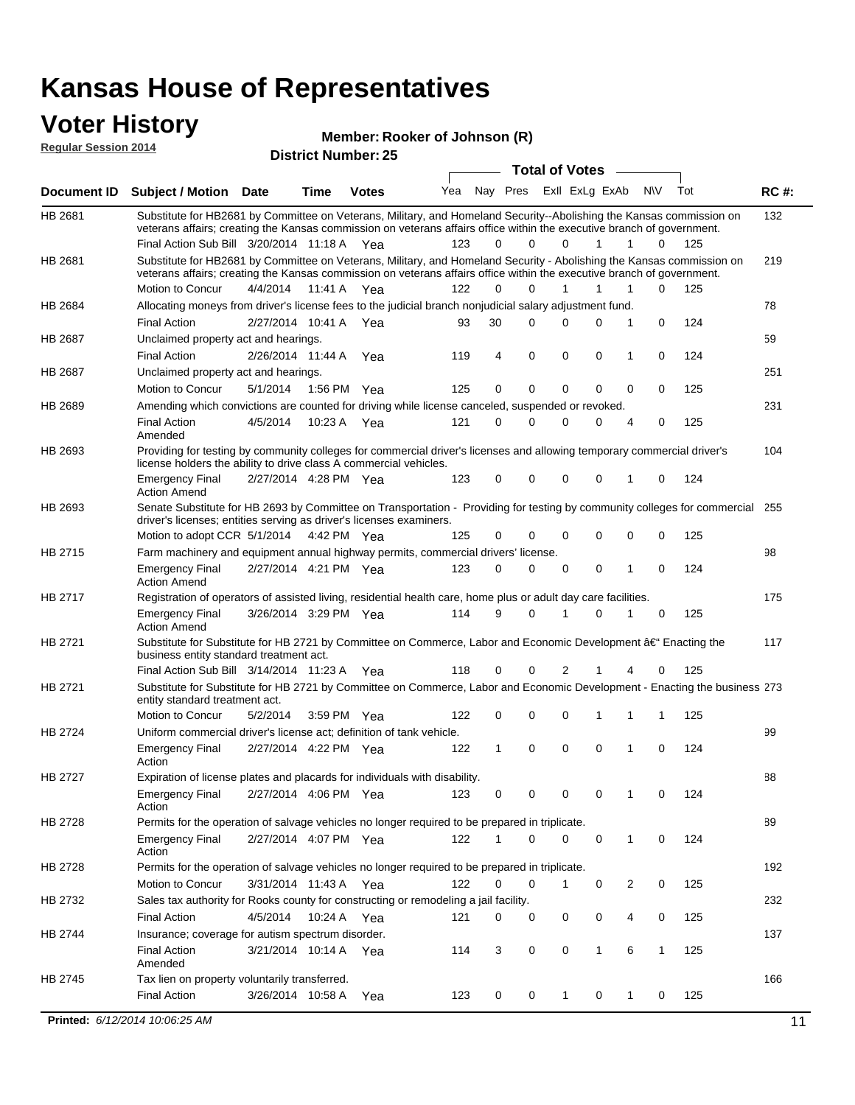#### **Voter History Member: Regular Session 2014**

| I y |  |  |  | Member: Rooker of Johnson (R) |  |
|-----|--|--|--|-------------------------------|--|
|     |  |  |  |                               |  |

| noguidi ocoololi 4014 |                                                                                                                                                                                                                                                                                               |                                                                                                                    |                       | <b>District Number: 25</b> |     |    |          |                         |              |   |              |     |             |
|-----------------------|-----------------------------------------------------------------------------------------------------------------------------------------------------------------------------------------------------------------------------------------------------------------------------------------------|--------------------------------------------------------------------------------------------------------------------|-----------------------|----------------------------|-----|----|----------|-------------------------|--------------|---|--------------|-----|-------------|
|                       |                                                                                                                                                                                                                                                                                               |                                                                                                                    |                       |                            |     |    |          | <b>Total of Votes</b>   |              |   |              |     |             |
| Document ID           | Subject / Motion Date                                                                                                                                                                                                                                                                         |                                                                                                                    | <b>Time</b>           | <b>Votes</b>               | Yea |    |          | Nay Pres ExII ExLg ExAb |              |   | N\V          | Tot | <b>RC#:</b> |
| HB 2681               | Substitute for HB2681 by Committee on Veterans, Military, and Homeland Security--Abolishing the Kansas commission on<br>veterans affairs; creating the Kansas commission on veterans affairs office within the executive branch of government.<br>Final Action Sub Bill 3/20/2014 11:18 A Yea |                                                                                                                    |                       |                            | 123 | 0  | $\Omega$ | $\Omega$                | 1            | 1 | $\Omega$     | 125 | 132         |
| HB 2681               | Substitute for HB2681 by Committee on Veterans, Military, and Homeland Security - Abolishing the Kansas commission on<br>veterans affairs; creating the Kansas commission on veterans affairs office within the executive branch of government.                                               |                                                                                                                    |                       |                            |     |    |          |                         |              |   |              |     | 219         |
|                       | Motion to Concur                                                                                                                                                                                                                                                                              | 4/4/2014                                                                                                           | 11:41 A               | Yea                        | 122 | 0  | 0        | $\mathbf{1}$            | 1            | 1 | 0            | 125 |             |
| HB 2684               | Allocating moneys from driver's license fees to the judicial branch nonjudicial salary adjustment fund.                                                                                                                                                                                       |                                                                                                                    |                       |                            |     |    |          |                         |              |   |              |     | 78          |
|                       | <b>Final Action</b>                                                                                                                                                                                                                                                                           | 2/27/2014 10:41 A Yea                                                                                              |                       |                            | 93  | 30 | 0        | 0                       | 0            | 1 | $\mathbf 0$  | 124 |             |
| HB 2687               | Unclaimed property act and hearings.                                                                                                                                                                                                                                                          |                                                                                                                    |                       |                            |     |    |          |                         |              |   |              |     | 59          |
|                       | <b>Final Action</b>                                                                                                                                                                                                                                                                           |                                                                                                                    | 2/26/2014 11:44 A     | Yea                        | 119 | 4  | 0        | 0                       | $\mathbf 0$  | 1 | 0            | 124 |             |
| HB 2687               |                                                                                                                                                                                                                                                                                               | 251<br>Unclaimed property act and hearings.<br>0<br>0<br>125<br>5/1/2014<br>1:56 PM Yea<br>125<br>0<br>0<br>0<br>0 |                       |                            |     |    |          |                         |              |   |              |     |             |
|                       | Motion to Concur                                                                                                                                                                                                                                                                              |                                                                                                                    |                       |                            |     |    |          |                         |              |   |              |     |             |
| HB 2689               | Amending which convictions are counted for driving while license canceled, suspended or revoked.                                                                                                                                                                                              |                                                                                                                    |                       |                            |     |    |          |                         |              |   |              |     | 231         |
|                       | <b>Final Action</b><br>Amended                                                                                                                                                                                                                                                                | 4/5/2014                                                                                                           | 10:23 A               | Yea                        | 121 | 0  | 0        | 0                       | 0            | 4 | 0            | 125 |             |
| HB 2693               | Providing for testing by community colleges for commercial driver's licenses and allowing temporary commercial driver's<br>license holders the ability to drive class A commercial vehicles.                                                                                                  |                                                                                                                    |                       |                            |     |    |          |                         |              |   |              |     | 104         |
|                       | <b>Emergency Final</b><br><b>Action Amend</b>                                                                                                                                                                                                                                                 | 2/27/2014 4:28 PM Yea                                                                                              |                       |                            | 123 | 0  | $\Omega$ | 0                       | 0            | 1 | 0            | 124 |             |
| HB 2693               | Senate Substitute for HB 2693 by Committee on Transportation - Providing for testing by community colleges for commercial 255<br>driver's licenses; entities serving as driver's licenses examiners.                                                                                          |                                                                                                                    |                       |                            |     |    |          |                         |              |   |              |     |             |
|                       | Motion to adopt CCR 5/1/2014 4:42 PM Yea                                                                                                                                                                                                                                                      |                                                                                                                    |                       |                            | 125 | 0  | 0        | 0                       | 0            | 0 | 0            | 125 |             |
| HB 2715               | Farm machinery and equipment annual highway permits, commercial drivers' license.                                                                                                                                                                                                             |                                                                                                                    |                       |                            |     |    |          |                         |              |   |              |     | 98          |
|                       | <b>Emergency Final</b><br><b>Action Amend</b>                                                                                                                                                                                                                                                 | 2/27/2014 4:21 PM Yea                                                                                              |                       |                            | 123 | 0  | 0        | 0                       | 0            | 1 | 0            | 124 |             |
| HB 2717               | Registration of operators of assisted living, residential health care, home plus or adult day care facilities.                                                                                                                                                                                |                                                                                                                    |                       |                            |     |    |          |                         |              |   |              |     | 175         |
|                       | <b>Emergency Final</b><br><b>Action Amend</b>                                                                                                                                                                                                                                                 | 3/26/2014 3:29 PM Yea                                                                                              |                       |                            | 114 | 9  | 0        | 1                       | 0            | 1 | 0            | 125 |             |
| HB 2721               | Substitute for Substitute for HB 2721 by Committee on Commerce, Labor and Economic Development †Enacting the<br>business entity standard treatment act.                                                                                                                                       |                                                                                                                    |                       |                            |     |    |          |                         |              |   |              |     | 117         |
|                       | Final Action Sub Bill 3/14/2014 11:23 A Yea                                                                                                                                                                                                                                                   |                                                                                                                    |                       |                            | 118 | 0  | 0        | 2                       |              |   | 0            | 125 |             |
| HB 2721               | Substitute for Substitute for HB 2721 by Committee on Commerce, Labor and Economic Development - Enacting the business 273<br>entity standard treatment act.                                                                                                                                  |                                                                                                                    |                       |                            |     |    |          |                         |              |   |              |     |             |
|                       | Motion to Concur                                                                                                                                                                                                                                                                              | 5/2/2014                                                                                                           |                       | 3:59 PM Yea                | 122 | 0  | 0        | 0                       | 1            | 1 | 1            | 125 |             |
| HB 2724               | Uniform commercial driver's license act; definition of tank vehicle.                                                                                                                                                                                                                          |                                                                                                                    |                       |                            |     |    |          |                         |              |   |              |     | 99          |
|                       | <b>Emergency Final</b><br>Action                                                                                                                                                                                                                                                              | 2/27/2014 4:22 PM Yea                                                                                              |                       |                            | 122 | 1  | 0        | 0                       | 0            | 1 | 0            | 124 |             |
| HB 2727               | Expiration of license plates and placards for individuals with disability.                                                                                                                                                                                                                    |                                                                                                                    |                       |                            |     |    |          |                         |              |   |              |     | 88          |
|                       | <b>Emergency Final</b><br>Action                                                                                                                                                                                                                                                              | 2/27/2014 4:06 PM Yea                                                                                              |                       |                            | 123 | 0  | 0        | 0                       | 0            | 1 | 0            | 124 |             |
| HB 2728               | Permits for the operation of salvage vehicles no longer required to be prepared in triplicate.                                                                                                                                                                                                |                                                                                                                    |                       |                            |     |    |          |                         |              |   |              |     | 89          |
|                       | <b>Emergency Final</b><br>Action                                                                                                                                                                                                                                                              | 2/27/2014 4:07 PM Yea                                                                                              |                       |                            | 122 | 1  | 0        | 0                       | 0            | 1 | 0            | 124 |             |
| HB 2728               | Permits for the operation of salvage vehicles no longer required to be prepared in triplicate.                                                                                                                                                                                                |                                                                                                                    |                       |                            |     |    |          |                         |              |   |              |     | 192         |
|                       | Motion to Concur                                                                                                                                                                                                                                                                              |                                                                                                                    | 3/31/2014 11:43 A Yea |                            | 122 | 0  | 0        | 1                       | 0            | 2 | 0            | 125 |             |
| HB 2732               | Sales tax authority for Rooks county for constructing or remodeling a jail facility.                                                                                                                                                                                                          |                                                                                                                    |                       |                            |     |    |          |                         |              |   |              |     | 232         |
|                       | <b>Final Action</b>                                                                                                                                                                                                                                                                           | 4/5/2014                                                                                                           |                       | 10:24 A Yea                | 121 | 0  | 0        | 0                       | 0            | 4 | 0            | 125 |             |
| HB 2744               | Insurance; coverage for autism spectrum disorder.                                                                                                                                                                                                                                             |                                                                                                                    |                       |                            |     |    |          |                         |              |   |              |     | 137         |
|                       | <b>Final Action</b>                                                                                                                                                                                                                                                                           | 3/21/2014 10:14 A Yea                                                                                              |                       |                            | 114 | 3  | 0        | 0                       | $\mathbf{1}$ | 6 | $\mathbf{1}$ | 125 |             |
|                       | Amended                                                                                                                                                                                                                                                                                       |                                                                                                                    |                       |                            |     |    |          |                         |              |   |              |     |             |
| HB 2745               | Tax lien on property voluntarily transferred.                                                                                                                                                                                                                                                 |                                                                                                                    |                       |                            |     |    |          |                         |              |   |              |     | 166         |
|                       | <b>Final Action</b>                                                                                                                                                                                                                                                                           |                                                                                                                    | 3/26/2014 10:58 A     | Yea                        | 123 | 0  | 0        | 1                       | 0            | 1 | 0            | 125 |             |
|                       | Printed: 6/12/2014 10:06:25 AM                                                                                                                                                                                                                                                                |                                                                                                                    |                       |                            |     |    |          |                         |              |   |              |     | 11          |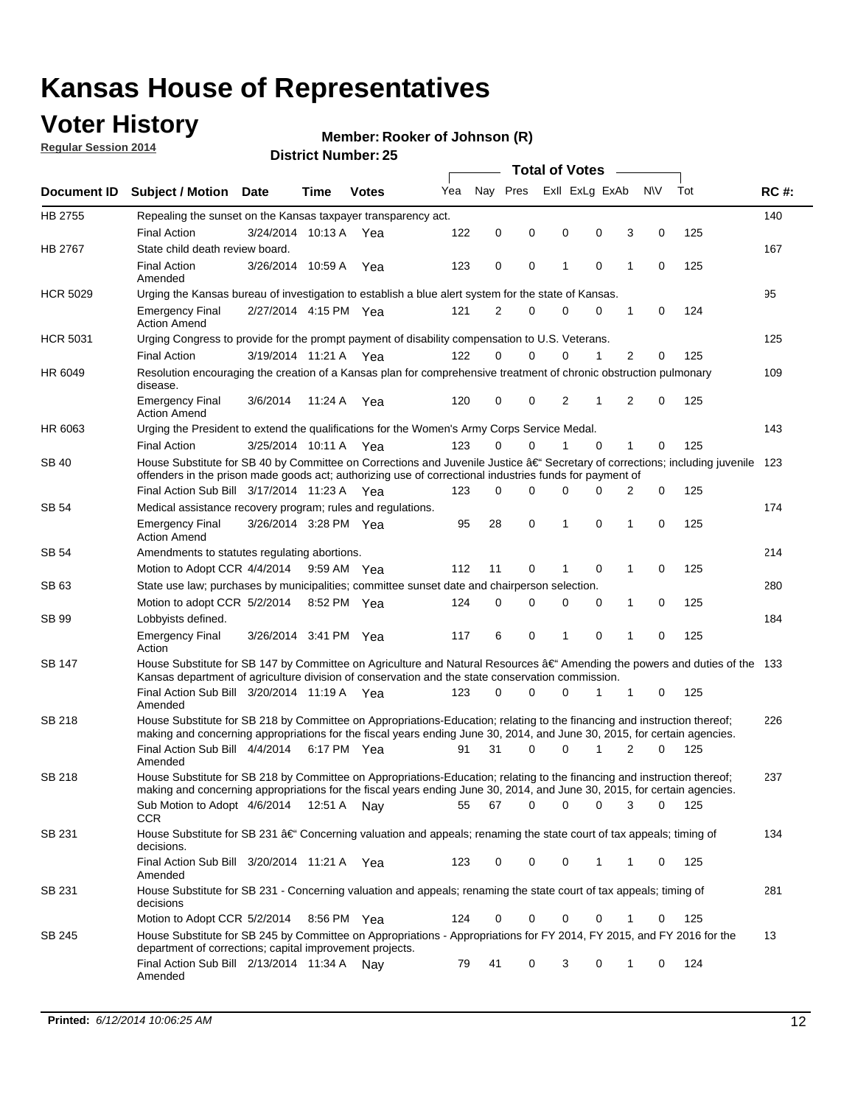### **Voter History**

**Regular Session 2014**

#### **Member: Rooker of Johnson (R)**

|                 |                                                                                                                                                                                                                                                      | <b>Total of Votes</b> |             |              |     |             |          |                |             |                |             |     |             |
|-----------------|------------------------------------------------------------------------------------------------------------------------------------------------------------------------------------------------------------------------------------------------------|-----------------------|-------------|--------------|-----|-------------|----------|----------------|-------------|----------------|-------------|-----|-------------|
| Document ID     | <b>Subject / Motion Date</b>                                                                                                                                                                                                                         |                       | Time        | <b>Votes</b> | Yea | Nay Pres    |          | Exll ExLg ExAb |             |                | <b>NV</b>   | Tot | <b>RC#:</b> |
| HB 2755         | Repealing the sunset on the Kansas taxpayer transparency act.                                                                                                                                                                                        |                       |             |              |     |             |          |                |             |                |             |     | 140         |
|                 | <b>Final Action</b>                                                                                                                                                                                                                                  | 3/24/2014 10:13 A     |             | Yea          | 122 | 0           | 0        | 0              | 0           | 3              | $\mathbf 0$ | 125 |             |
| HB 2767         | State child death review board.                                                                                                                                                                                                                      |                       |             |              |     |             |          |                |             |                |             |     | 167         |
|                 | <b>Final Action</b><br>Amended                                                                                                                                                                                                                       | 3/26/2014 10:59 A     |             | Yea          | 123 | 0           | 0        | 1              | 0           | 1              | 0           | 125 |             |
| <b>HCR 5029</b> | Urging the Kansas bureau of investigation to establish a blue alert system for the state of Kansas.                                                                                                                                                  |                       |             |              |     |             |          |                |             |                |             |     | 95          |
|                 | <b>Emergency Final</b><br><b>Action Amend</b>                                                                                                                                                                                                        | 2/27/2014 4:15 PM Yea |             |              | 121 | 2           | 0        | 0              | 0           | 1              | 0           | 124 |             |
| <b>HCR 5031</b> | Urging Congress to provide for the prompt payment of disability compensation to U.S. Veterans.                                                                                                                                                       |                       |             |              |     |             |          |                |             |                |             |     | 125         |
|                 | <b>Final Action</b>                                                                                                                                                                                                                                  | 3/19/2014 11:21 A Yea |             |              | 122 | $\Omega$    | $\Omega$ | 0              | 1           | 2              | 0           | 125 |             |
| HR 6049         | Resolution encouraging the creation of a Kansas plan for comprehensive treatment of chronic obstruction pulmonary<br>disease.                                                                                                                        |                       |             |              |     |             |          |                |             |                |             |     | 109         |
|                 | <b>Emergency Final</b><br><b>Action Amend</b>                                                                                                                                                                                                        | 3/6/2014              | 11:24 A     | Yea          | 120 | $\mathbf 0$ | 0        | 2              | 1           | $\overline{2}$ | $\mathbf 0$ | 125 |             |
| HR 6063         | Urging the President to extend the qualifications for the Women's Army Corps Service Medal.                                                                                                                                                          |                       |             |              |     |             |          |                |             |                |             |     | 143         |
|                 | <b>Final Action</b>                                                                                                                                                                                                                                  | 3/25/2014 10:11 A Yea |             |              | 123 | 0           | $\Omega$ | 1              | $\Omega$    | 1              | 0           | 125 |             |
| <b>SB 40</b>    | House Substitute for SB 40 by Committee on Corrections and Juvenile Justice $\hat{a}\in$ Secretary of corrections; including juvenile 123<br>offenders in the prison made goods act; authorizing use of correctional industries funds for payment of |                       |             |              |     |             |          |                |             |                |             |     |             |
|                 | Final Action Sub Bill 3/17/2014 11:23 A Yea                                                                                                                                                                                                          |                       |             |              | 123 | 0           | 0        | 0              | 0           | 2              | 0           | 125 |             |
| SB 54           | Medical assistance recovery program; rules and regulations.                                                                                                                                                                                          |                       |             |              |     |             |          |                |             |                |             |     | 174         |
|                 | <b>Emergency Final</b><br><b>Action Amend</b>                                                                                                                                                                                                        | 3/26/2014 3:28 PM Yea |             |              | 95  | 28          | 0        | 1              | 0           | 1              | $\mathbf 0$ | 125 |             |
| SB 54           | Amendments to statutes regulating abortions.                                                                                                                                                                                                         |                       |             |              |     |             |          |                |             |                |             |     | 214         |
|                 | Motion to Adopt CCR 4/4/2014                                                                                                                                                                                                                         |                       | 9:59 AM Yea |              | 112 | 11          | 0        |                | $\mathbf 0$ | 1              | $\mathbf 0$ | 125 |             |
| SB 63           | State use law; purchases by municipalities; committee sunset date and chairperson selection.                                                                                                                                                         |                       |             |              |     |             |          |                |             |                |             |     | 280         |
|                 | Motion to adopt CCR 5/2/2014                                                                                                                                                                                                                         |                       | 8:52 PM Yea |              | 124 | $\mathbf 0$ | 0        | 0              | 0           | 1              | $\mathbf 0$ | 125 |             |
| SB 99           | Lobbyists defined.                                                                                                                                                                                                                                   |                       |             |              |     |             |          |                |             |                |             |     | 184         |
|                 | <b>Emergency Final</b><br>Action                                                                                                                                                                                                                     | 3/26/2014 3:41 PM Yea |             |              | 117 | 6           | 0        | 1              | 0           | 1              | $\mathbf 0$ | 125 |             |
| SB 147          | House Substitute for SB 147 by Committee on Agriculture and Natural Resources †Amending the powers and duties of the 133<br>Kansas department of agriculture division of conservation and the state conservation commission.                         |                       |             |              |     |             |          |                |             |                |             |     |             |
|                 | Final Action Sub Bill 3/20/2014 11:19 A Yea<br>Amended                                                                                                                                                                                               |                       |             |              | 123 | $\Omega$    | $\Omega$ | 0              | 1           | 1              | 0           | 125 |             |
| <b>SB 218</b>   | House Substitute for SB 218 by Committee on Appropriations-Education; relating to the financing and instruction thereof;                                                                                                                             |                       |             |              |     |             |          |                |             |                |             |     | 226         |
|                 | making and concerning appropriations for the fiscal years ending June 30, 2014, and June 30, 2015, for certain agencies.<br>Final Action Sub Bill 4/4/2014 6:17 PM Yea                                                                               |                       |             |              | 91  | 31          | $\Omega$ | $\Omega$       | 1           | 2              | $\Omega$    | 125 |             |
|                 | Amended                                                                                                                                                                                                                                              |                       |             |              |     |             |          |                |             |                |             |     |             |
| <b>SB 218</b>   | House Substitute for SB 218 by Committee on Appropriations-Education; relating to the financing and instruction thereof;                                                                                                                             |                       |             |              |     |             |          |                |             |                |             |     | 237         |
|                 | making and concerning appropriations for the fiscal years ending June 30, 2014, and June 30, 2015, for certain agencies.                                                                                                                             |                       |             |              |     |             |          |                |             |                |             |     |             |
|                 | Sub Motion to Adopt 4/6/2014 12:51 A Nay<br><b>CCR</b>                                                                                                                                                                                               |                       |             |              | 55  | 67          | 0        | 0              | 0           | 3              | 0           | 125 |             |
| SB 231          | House Substitute for SB 231 †Concerning valuation and appeals; renaming the state court of tax appeals; timing of<br>decisions.                                                                                                                      |                       |             |              |     |             |          |                |             |                |             |     | 134         |
|                 | Final Action Sub Bill 3/20/2014 11:21 A Yea                                                                                                                                                                                                          |                       |             |              | 123 | 0           | 0        | 0              | 1           | 1              | 0           | 125 |             |
|                 | Amended                                                                                                                                                                                                                                              |                       |             |              |     |             |          |                |             |                |             |     |             |
| SB 231          | House Substitute for SB 231 - Concerning valuation and appeals; renaming the state court of tax appeals; timing of<br>decisions                                                                                                                      |                       |             |              |     |             |          |                |             |                |             |     | 281         |
|                 | Motion to Adopt CCR 5/2/2014 8:56 PM Yea                                                                                                                                                                                                             |                       |             |              | 124 | 0           | 0        | 0              | 0           | 1              | 0           | 125 |             |
| SB 245          | House Substitute for SB 245 by Committee on Appropriations - Appropriations for FY 2014, FY 2015, and FY 2016 for the<br>department of corrections; capital improvement projects.                                                                    |                       |             |              |     |             |          |                |             |                |             |     | 13          |
|                 | Final Action Sub Bill 2/13/2014 11:34 A<br>Amended                                                                                                                                                                                                   |                       |             | Nav          | 79  | 41          | 0        | 3              | 0           | 1              | 0           | 124 |             |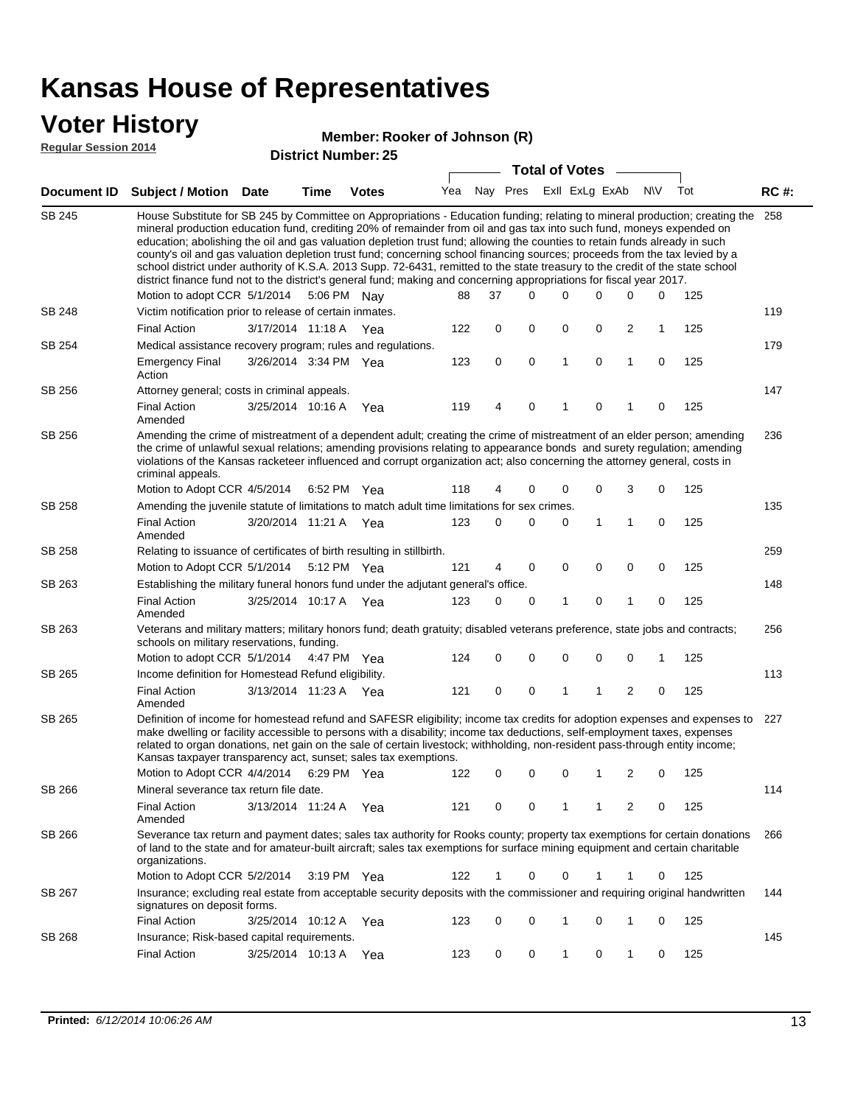### **Voter History**

#### **Member: Rooker of Johnson (R)**

**Regular Session 2014**

|               |                                                                                                                                                                                                                                                                                                                                                                                                                                                                                                                                                                                                                                                                                                                                                                                                               |                       |             |                       |     |    | <b>Total of Votes</b>       |              |   |             |     |     |             |
|---------------|---------------------------------------------------------------------------------------------------------------------------------------------------------------------------------------------------------------------------------------------------------------------------------------------------------------------------------------------------------------------------------------------------------------------------------------------------------------------------------------------------------------------------------------------------------------------------------------------------------------------------------------------------------------------------------------------------------------------------------------------------------------------------------------------------------------|-----------------------|-------------|-----------------------|-----|----|-----------------------------|--------------|---|-------------|-----|-----|-------------|
| Document ID   | <b>Subject / Motion Date</b>                                                                                                                                                                                                                                                                                                                                                                                                                                                                                                                                                                                                                                                                                                                                                                                  |                       | <b>Time</b> | <b>Votes</b>          |     |    | Yea Nay Pres ExII ExLg ExAb |              |   |             | N\V | Tot | <b>RC#:</b> |
| <b>SB 245</b> | House Substitute for SB 245 by Committee on Appropriations - Education funding; relating to mineral production; creating the<br>mineral production education fund, crediting 20% of remainder from oil and gas tax into such fund, moneys expended on<br>education; abolishing the oil and gas valuation depletion trust fund; allowing the counties to retain funds already in such<br>county's oil and gas valuation depletion trust fund; concerning school financing sources; proceeds from the tax levied by a<br>school district under authority of K.S.A. 2013 Supp. 72-6431, remitted to the state treasury to the credit of the state school<br>district finance fund not to the district's general fund; making and concerning appropriations for fiscal year 2017.<br>Motion to adopt CCR 5/1/2014 |                       |             | 5:06 PM Nay           | 88  | 37 | $\Omega$                    | $\Omega$     | 0 | 0           | 0   | 125 | 258         |
| SB 248        | Victim notification prior to release of certain inmates.                                                                                                                                                                                                                                                                                                                                                                                                                                                                                                                                                                                                                                                                                                                                                      |                       |             |                       |     |    |                             |              |   |             |     |     | 119         |
|               | <b>Final Action</b>                                                                                                                                                                                                                                                                                                                                                                                                                                                                                                                                                                                                                                                                                                                                                                                           | 3/17/2014 11:18 A     |             | Yea                   | 122 | 0  | 0                           | 0            | 0 | 2           | 1   | 125 |             |
| SB 254        | Medical assistance recovery program; rules and regulations.                                                                                                                                                                                                                                                                                                                                                                                                                                                                                                                                                                                                                                                                                                                                                   |                       |             |                       |     |    |                             |              |   |             |     |     | 179         |
|               | <b>Emergency Final</b><br>Action                                                                                                                                                                                                                                                                                                                                                                                                                                                                                                                                                                                                                                                                                                                                                                              | 3/26/2014 3:34 PM Yea |             |                       | 123 | 0  | $\mathbf 0$                 | $\mathbf{1}$ | 0 | 1           | 0   | 125 |             |
| SB 256        | Attorney general; costs in criminal appeals.                                                                                                                                                                                                                                                                                                                                                                                                                                                                                                                                                                                                                                                                                                                                                                  |                       |             |                       |     |    |                             |              |   |             |     |     | 147         |
|               | <b>Final Action</b><br>Amended                                                                                                                                                                                                                                                                                                                                                                                                                                                                                                                                                                                                                                                                                                                                                                                | 3/25/2014 10:16 A     |             | Yea                   | 119 | 4  | 0                           | 1            | 0 |             | 0   | 125 |             |
| SB 256        | Amending the crime of mistreatment of a dependent adult; creating the crime of mistreatment of an elder person; amending<br>the crime of unlawful sexual relations; amending provisions relating to appearance bonds and surety regulation; amending<br>violations of the Kansas racketeer influenced and corrupt organization act; also concerning the attorney general, costs in<br>criminal appeals.                                                                                                                                                                                                                                                                                                                                                                                                       |                       |             |                       |     |    |                             |              |   |             |     |     | 236         |
|               | Motion to Adopt CCR 4/5/2014                                                                                                                                                                                                                                                                                                                                                                                                                                                                                                                                                                                                                                                                                                                                                                                  |                       | 6:52 PM Yea |                       | 118 | 4  | 0                           | 0            | 0 | 3           | 0   | 125 |             |
| SB 258        | Amending the juvenile statute of limitations to match adult time limitations for sex crimes.<br><b>Final Action</b><br>Amended                                                                                                                                                                                                                                                                                                                                                                                                                                                                                                                                                                                                                                                                                | 3/20/2014 11:21 A Yea |             |                       | 123 | 0  | 0                           | 0            | 1 | 1           | 0   | 125 | 135         |
| SB 258        | Relating to issuance of certificates of birth resulting in stillbirth.                                                                                                                                                                                                                                                                                                                                                                                                                                                                                                                                                                                                                                                                                                                                        |                       |             |                       |     |    |                             |              |   |             |     |     | 259         |
|               | Motion to Adopt CCR 5/1/2014                                                                                                                                                                                                                                                                                                                                                                                                                                                                                                                                                                                                                                                                                                                                                                                  |                       | 5:12 PM Yea |                       | 121 | 4  | 0                           | 0            | 0 | $\mathbf 0$ | 0   | 125 |             |
| SB 263        | Establishing the military funeral honors fund under the adjutant general's office.                                                                                                                                                                                                                                                                                                                                                                                                                                                                                                                                                                                                                                                                                                                            |                       |             |                       |     |    |                             |              |   |             |     |     | 148         |
|               | <b>Final Action</b><br>Amended                                                                                                                                                                                                                                                                                                                                                                                                                                                                                                                                                                                                                                                                                                                                                                                | 3/25/2014 10:17 A Yea |             |                       | 123 | 0  | 0                           | 1            | 0 | 1           | 0   | 125 |             |
| SB 263        | Veterans and military matters; military honors fund; death gratuity; disabled veterans preference, state jobs and contracts;<br>schools on military reservations, funding.                                                                                                                                                                                                                                                                                                                                                                                                                                                                                                                                                                                                                                    |                       |             |                       |     |    |                             |              |   |             |     |     | 256         |
|               | Motion to adopt CCR 5/1/2014 4:47 PM Yea                                                                                                                                                                                                                                                                                                                                                                                                                                                                                                                                                                                                                                                                                                                                                                      |                       |             |                       | 124 | 0  | 0                           | 0            | 0 | 0           | 1   | 125 |             |
| SB 265        | Income definition for Homestead Refund eligibility.                                                                                                                                                                                                                                                                                                                                                                                                                                                                                                                                                                                                                                                                                                                                                           |                       |             |                       |     |    |                             |              |   |             |     |     | 113         |
|               | <b>Final Action</b><br>Amended                                                                                                                                                                                                                                                                                                                                                                                                                                                                                                                                                                                                                                                                                                                                                                                | 3/13/2014 11:23 A Yea |             |                       | 121 | 0  | 0                           | 1            | 1 | 2           | 0   | 125 |             |
| SB 265        | Definition of income for homestead refund and SAFESR eligibility; income tax credits for adoption expenses and expenses to<br>make dwelling or facility accessible to persons with a disability; income tax deductions, self-employment taxes, expenses<br>related to organ donations, net gain on the sale of certain livestock; withholding, non-resident pass-through entity income;<br>Kansas taxpayer transparency act, sunset; sales tax exemptions.                                                                                                                                                                                                                                                                                                                                                    |                       |             |                       |     |    |                             |              |   |             |     |     | 227         |
|               | Motion to Adopt CCR 4/4/2014 6:29 PM Yea                                                                                                                                                                                                                                                                                                                                                                                                                                                                                                                                                                                                                                                                                                                                                                      |                       |             |                       | 122 | 0  | 0                           | 0            | 1 | 2           | 0   | 125 |             |
| SB 266        | Mineral severance tax return file date.                                                                                                                                                                                                                                                                                                                                                                                                                                                                                                                                                                                                                                                                                                                                                                       |                       |             |                       |     |    |                             |              |   |             |     |     | 114         |
|               | <b>Final Action</b><br>Amended                                                                                                                                                                                                                                                                                                                                                                                                                                                                                                                                                                                                                                                                                                                                                                                | 3/13/2014 11:24 A     |             | Yea                   | 121 | 0  | 0                           | 1            | 1 | 2           | 0   | 125 |             |
| SB 266        | Severance tax return and payment dates; sales tax authority for Rooks county; property tax exemptions for certain donations<br>of land to the state and for amateur-built aircraft; sales tax exemptions for surface mining equipment and certain charitable<br>organizations.                                                                                                                                                                                                                                                                                                                                                                                                                                                                                                                                |                       |             |                       |     |    |                             |              |   |             |     |     | 266         |
|               | Motion to Adopt CCR 5/2/2014                                                                                                                                                                                                                                                                                                                                                                                                                                                                                                                                                                                                                                                                                                                                                                                  |                       |             | $3:19 \text{ PM}$ Yea | 122 | 1  | 0                           | 0            |   |             | 0   | 125 |             |
| SB 267        | Insurance; excluding real estate from acceptable security deposits with the commissioner and requiring original handwritten<br>signatures on deposit forms.                                                                                                                                                                                                                                                                                                                                                                                                                                                                                                                                                                                                                                                   |                       |             |                       |     |    |                             |              |   |             |     |     | 144         |
|               | <b>Final Action</b>                                                                                                                                                                                                                                                                                                                                                                                                                                                                                                                                                                                                                                                                                                                                                                                           | 3/25/2014 10:12 A     |             | Yea                   | 123 | 0  | 0                           | 1            | 0 | 1           | 0   | 125 |             |
| SB 268        | Insurance; Risk-based capital requirements.                                                                                                                                                                                                                                                                                                                                                                                                                                                                                                                                                                                                                                                                                                                                                                   |                       |             |                       |     |    |                             |              |   |             |     |     | 145         |
|               | <b>Final Action</b>                                                                                                                                                                                                                                                                                                                                                                                                                                                                                                                                                                                                                                                                                                                                                                                           | 3/25/2014 10:13 A     |             | Yea                   | 123 | 0  | 0                           | 1            | 0 | 1           | 0   | 125 |             |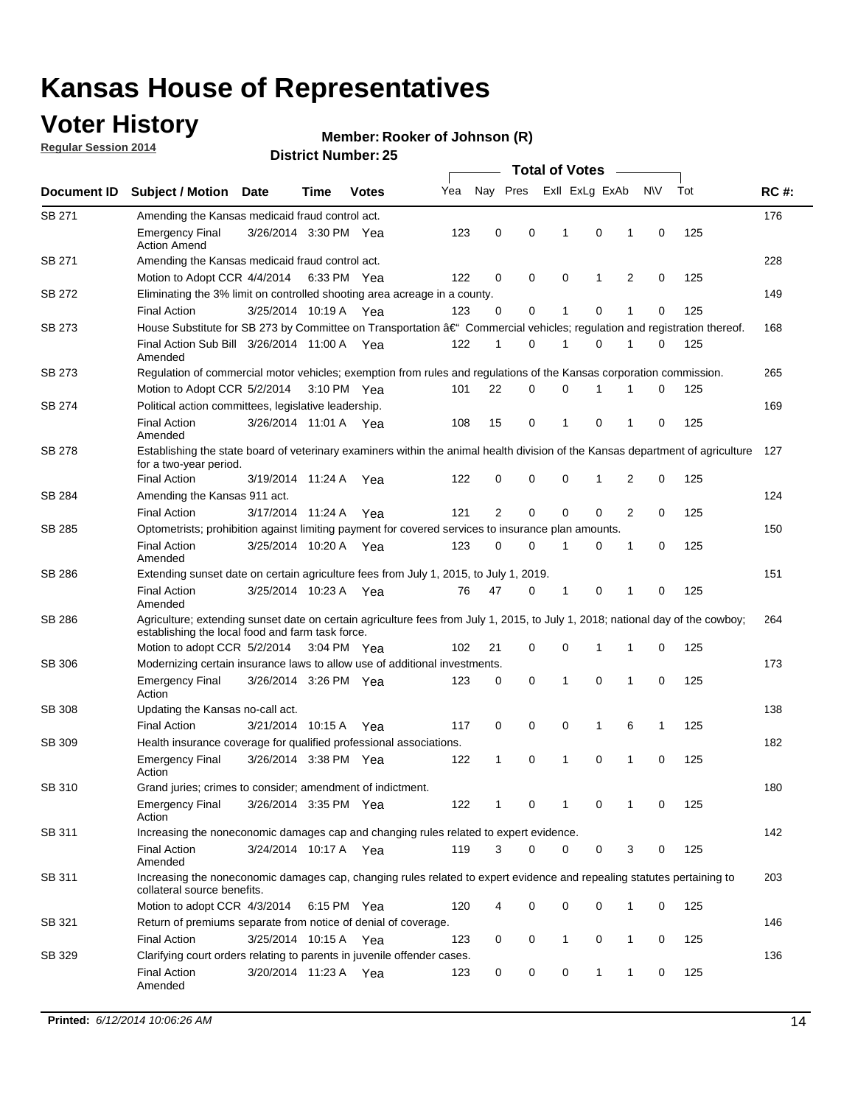### **Voter History**

**Regular Session 2014**

#### **Member: Rooker of Johnson (R)**

|               |                                                                                                                                                                                    |                       |             |              |     |    |          |   | <b>Total of Votes</b> |   |   |             |     |             |
|---------------|------------------------------------------------------------------------------------------------------------------------------------------------------------------------------------|-----------------------|-------------|--------------|-----|----|----------|---|-----------------------|---|---|-------------|-----|-------------|
| Document ID   | <b>Subject / Motion</b>                                                                                                                                                            | <b>Date</b>           | Time        | <b>Votes</b> |     |    | Nay Pres |   | Exll ExLg ExAb        |   |   | <b>NV</b>   | Tot | <b>RC#:</b> |
| SB 271        | Amending the Kansas medicaid fraud control act.                                                                                                                                    |                       |             |              |     |    |          |   |                       |   |   |             |     | 176         |
|               | <b>Emergency Final</b><br><b>Action Amend</b>                                                                                                                                      | 3/26/2014 3:30 PM Yea |             |              | 123 | 0  | 0        |   | 1                     | 0 | 1 | 0           | 125 |             |
| SB 271        | Amending the Kansas medicaid fraud control act.                                                                                                                                    |                       |             |              |     |    |          |   |                       |   |   |             |     | 228         |
|               | Motion to Adopt CCR 4/4/2014 6:33 PM Yea                                                                                                                                           |                       |             |              | 122 | 0  | 0        |   | 0                     | 1 | 2 | 0           | 125 |             |
| SB 272        | Eliminating the 3% limit on controlled shooting area acreage in a county.                                                                                                          |                       |             |              |     |    |          |   |                       |   |   |             |     | 149         |
|               | <b>Final Action</b>                                                                                                                                                                | 3/25/2014 10:19 A Yea |             |              | 123 | 0  |          | 0 | $\mathbf{1}$          | 0 | 1 | 0           | 125 |             |
| SB 273        | House Substitute for SB 273 by Committee on Transportation â€ <sup>4</sup> Commercial vehicles; regulation and registration thereof.                                               |                       |             |              |     |    |          |   |                       |   |   |             |     | 168         |
|               | Final Action Sub Bill 3/26/2014 11:00 A Yea<br>Amended                                                                                                                             |                       |             |              | 122 | 1  |          | 0 | 1                     | 0 | 1 | 0           | 125 |             |
| SB 273        | Regulation of commercial motor vehicles; exemption from rules and regulations of the Kansas corporation commission.                                                                |                       |             |              |     |    |          |   |                       |   |   |             |     | 265         |
|               | Motion to Adopt CCR 5/2/2014                                                                                                                                                       |                       | 3:10 PM Yea |              | 101 | 22 |          | 0 | 0                     | 1 |   | 0           | 125 |             |
| SB 274        | Political action committees, legislative leadership.                                                                                                                               |                       |             |              |     |    |          |   |                       |   |   |             |     | 169         |
|               | <b>Final Action</b><br>Amended                                                                                                                                                     | 3/26/2014 11:01 A Yea |             |              | 108 | 15 |          | 0 | 1                     | 0 | 1 | 0           | 125 |             |
| SB 278        | Establishing the state board of veterinary examiners within the animal health division of the Kansas department of agriculture<br>for a two-year period.                           |                       |             |              |     |    |          |   |                       |   |   |             |     | 127         |
|               | <b>Final Action</b>                                                                                                                                                                | 3/19/2014 11:24 A     |             | Yea          | 122 | 0  |          | 0 | 0                     | 1 | 2 | 0           | 125 |             |
| SB 284        | Amending the Kansas 911 act.                                                                                                                                                       |                       |             |              |     |    |          |   |                       |   |   |             |     | 124         |
|               | <b>Final Action</b>                                                                                                                                                                | 3/17/2014 11:24 A     |             | Yea          | 121 | 2  |          | 0 | 0                     | 0 | 2 | 0           | 125 |             |
| SB 285        | Optometrists; prohibition against limiting payment for covered services to insurance plan amounts.                                                                                 |                       |             |              |     |    |          |   |                       |   |   |             |     | 150         |
|               | <b>Final Action</b><br>Amended                                                                                                                                                     | 3/25/2014 10:20 A Yea |             |              | 123 | 0  |          | 0 | 1                     | 0 | 1 | 0           | 125 |             |
| SB 286        | Extending sunset date on certain agriculture fees from July 1, 2015, to July 1, 2019.                                                                                              |                       |             |              |     |    |          |   |                       |   |   |             |     | 151         |
|               | <b>Final Action</b><br>Amended                                                                                                                                                     | 3/25/2014 10:23 A Yea |             |              | 76  | 47 |          | 0 | 1                     | 0 | 1 | 0           | 125 |             |
| SB 286        | Agriculture; extending sunset date on certain agriculture fees from July 1, 2015, to July 1, 2018; national day of the cowboy;<br>establishing the local food and farm task force. |                       |             |              |     |    |          |   |                       |   |   |             |     | 264         |
|               | Motion to adopt CCR 5/2/2014 3:04 PM Yea                                                                                                                                           |                       |             |              | 102 | 21 |          | 0 | 0                     | 1 | 1 | 0           | 125 |             |
| SB 306        | Modernizing certain insurance laws to allow use of additional investments.                                                                                                         |                       |             |              |     |    |          |   |                       |   |   |             |     | 173         |
|               | <b>Emergency Final</b><br>Action                                                                                                                                                   | 3/26/2014 3:26 PM Yea |             |              | 123 | 0  | 0        |   | 1                     | 0 | 1 | $\mathbf 0$ | 125 |             |
| <b>SB 308</b> | Updating the Kansas no-call act.                                                                                                                                                   |                       |             |              |     |    |          |   |                       |   |   |             |     | 138         |
|               | <b>Final Action</b>                                                                                                                                                                | 3/21/2014 10:15 A     |             | Yea          | 117 | 0  | 0        |   | 0                     | 1 | 6 | 1           | 125 |             |
| SB 309        | Health insurance coverage for qualified professional associations.                                                                                                                 |                       |             |              |     |    |          |   |                       |   |   |             |     | 182         |
|               | <b>Emergency Final</b><br>Action                                                                                                                                                   | 3/26/2014 3:38 PM Yea |             |              | 122 | 1  |          | 0 | 1                     | 0 | 1 | 0           | 125 |             |
| SB 310        | Grand juries; crimes to consider; amendment of indictment.                                                                                                                         |                       |             |              |     |    |          |   |                       |   |   |             |     | 180         |
|               | <b>Emergency Final</b><br>Action                                                                                                                                                   | 3/26/2014 3:35 PM Yea |             |              | 122 | 1  |          | 0 | 1                     | 0 | 1 | 0           | 125 |             |
| SB 311        | Increasing the noneconomic damages cap and changing rules related to expert evidence.                                                                                              |                       |             |              |     |    |          |   |                       |   |   |             |     | 142         |
|               | <b>Final Action</b><br>Amended                                                                                                                                                     | 3/24/2014 10:17 A Yea |             |              | 119 | 3  |          | 0 | 0                     | 0 | 3 | 0           | 125 |             |
| SB 311        | Increasing the noneconomic damages cap, changing rules related to expert evidence and repealing statutes pertaining to<br>collateral source benefits.                              |                       |             |              |     |    |          |   |                       |   |   |             |     | 203         |
|               | Motion to adopt CCR 4/3/2014 6:15 PM Yea                                                                                                                                           |                       |             |              | 120 | 4  |          | 0 | 0                     | 0 | 1 | 0           | 125 |             |
| SB 321        | Return of premiums separate from notice of denial of coverage.                                                                                                                     |                       |             |              |     |    |          |   |                       |   |   |             |     | 146         |
|               | <b>Final Action</b>                                                                                                                                                                | 3/25/2014 10:15 A Yea |             |              | 123 | 0  |          | 0 | 1                     | 0 | 1 | 0           | 125 |             |
| SB 329        | Clarifying court orders relating to parents in juvenile offender cases.                                                                                                            |                       |             |              |     |    |          |   |                       |   |   |             | 136 |             |
|               | <b>Final Action</b><br>Amended                                                                                                                                                     | 3/20/2014 11:23 A Yea |             |              | 123 | 0  |          | 0 | 0                     | 1 | 1 | 0           | 125 |             |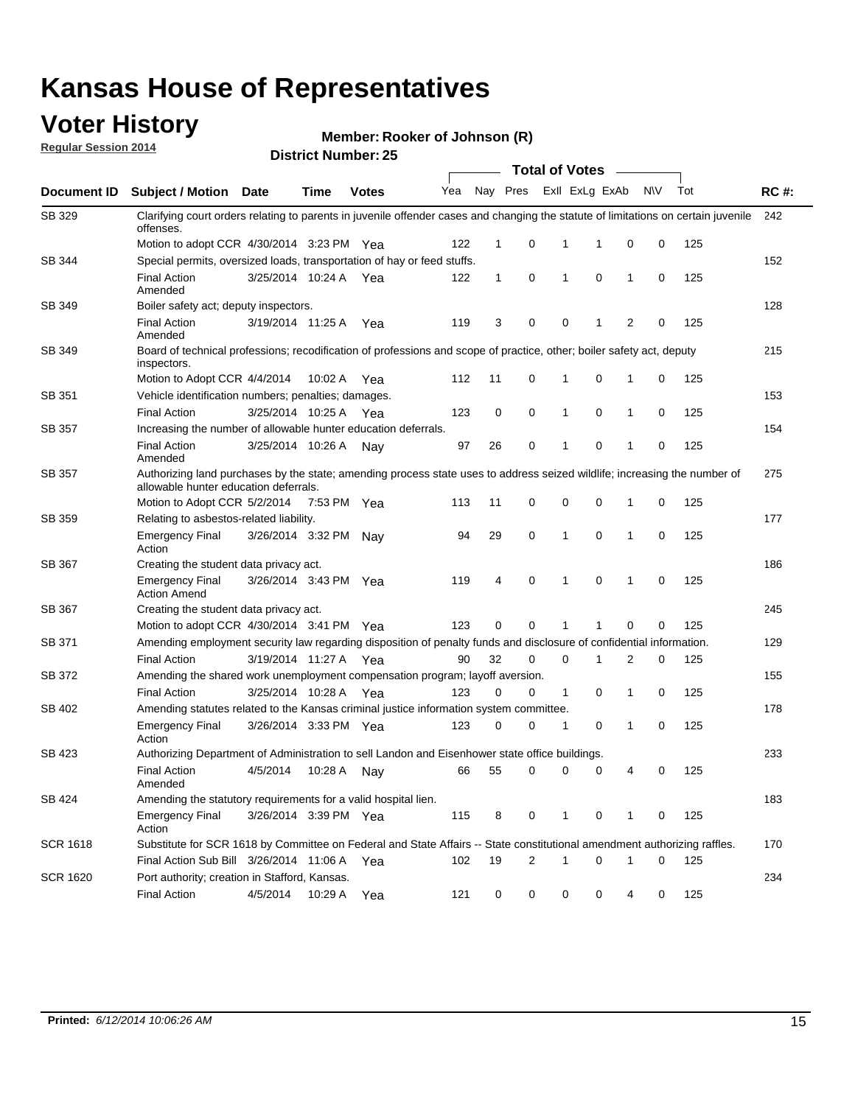### **Voter History**

**Regular Session 2014**

**Member: Rooker of Johnson (R)** 

|                    |                                                                                                                                                                    | <b>Total of Votes</b> |             |              |     |              |   |              |                |              |           |     |             |
|--------------------|--------------------------------------------------------------------------------------------------------------------------------------------------------------------|-----------------------|-------------|--------------|-----|--------------|---|--------------|----------------|--------------|-----------|-----|-------------|
| <b>Document ID</b> | <b>Subject / Motion Date</b>                                                                                                                                       |                       | Time        | <b>Votes</b> | Yea | Nay Pres     |   |              | Exll ExLg ExAb |              | <b>NV</b> | Tot | <b>RC#:</b> |
| SB 329             | Clarifying court orders relating to parents in juvenile offender cases and changing the statute of limitations on certain juvenile<br>offenses.                    |                       |             |              |     |              |   |              |                |              |           |     | 242         |
|                    | Motion to adopt CCR 4/30/2014 3:23 PM Yea                                                                                                                          |                       |             |              | 122 | $\mathbf 1$  | 0 | 1            | -1             | 0            | 0         | 125 |             |
| SB 344             | Special permits, oversized loads, transportation of hay or feed stuffs.                                                                                            |                       |             |              |     |              |   |              |                |              |           |     | 152         |
|                    | <b>Final Action</b><br>Amended                                                                                                                                     | 3/25/2014 10:24 A     |             | Yea          | 122 | $\mathbf{1}$ | 0 | $\mathbf{1}$ | 0              | $\mathbf{1}$ | 0         | 125 |             |
| <b>SB 349</b>      | Boiler safety act; deputy inspectors.                                                                                                                              |                       |             |              |     |              |   |              |                |              |           |     | 128         |
|                    | <b>Final Action</b><br>Amended                                                                                                                                     | 3/19/2014 11:25 A     |             | Yea          | 119 | 3            | 0 | 0            | 1              | 2            | 0         | 125 |             |
| SB 349             | Board of technical professions; recodification of professions and scope of practice, other; boiler safety act, deputy<br>inspectors.                               |                       |             |              |     |              |   |              |                |              |           |     | 215         |
|                    | Motion to Adopt CCR 4/4/2014                                                                                                                                       |                       | 10:02 A     | Yea          | 112 | 11           | 0 | 1            | 0              | 1            | 0         | 125 |             |
| SB 351             | Vehicle identification numbers; penalties; damages.                                                                                                                |                       |             |              |     |              |   |              |                |              |           |     | 153         |
|                    | <b>Final Action</b>                                                                                                                                                | 3/25/2014 10:25 A     |             | Yea          | 123 | 0            | 0 | 1            | 0              | 1            | 0         | 125 |             |
| SB 357             | Increasing the number of allowable hunter education deferrals.                                                                                                     |                       |             |              |     |              |   |              |                |              |           |     | 154         |
|                    | <b>Final Action</b><br>Amended                                                                                                                                     | 3/25/2014 10:26 A     |             | Nav          | 97  | 26           | 0 | $\mathbf{1}$ | 0              | 1            | 0         | 125 |             |
| SB 357             | Authorizing land purchases by the state; amending process state uses to address seized wildlife; increasing the number of<br>allowable hunter education deferrals. |                       |             |              |     |              |   |              |                |              |           |     | 275         |
|                    | Motion to Adopt CCR 5/2/2014                                                                                                                                       |                       | 7:53 PM Yea |              | 113 | 11           | 0 | 0            | $\mathbf 0$    | 1            | 0         | 125 |             |
| SB 359             | Relating to asbestos-related liability.                                                                                                                            |                       |             |              |     |              |   |              |                |              |           |     | 177         |
|                    | <b>Emergency Final</b><br>Action                                                                                                                                   | 3/26/2014 3:32 PM Nay |             |              | 94  | 29           | 0 | 1            | $\mathbf 0$    | 1            | 0         | 125 |             |
| <b>SB 367</b>      | Creating the student data privacy act.                                                                                                                             |                       |             |              |     |              |   |              |                |              |           |     | 186         |
|                    | <b>Emergency Final</b><br><b>Action Amend</b>                                                                                                                      | 3/26/2014 3:43 PM Yea |             |              | 119 | 4            | 0 | $\mathbf{1}$ | 0              | 1            | 0         | 125 |             |
| SB 367             | Creating the student data privacy act.                                                                                                                             |                       |             |              |     |              |   |              |                |              |           |     | 245         |
|                    | Motion to adopt CCR 4/30/2014 3:41 PM Yea                                                                                                                          |                       |             |              | 123 | 0            | 0 | 1            | 1              | 0            | 0         | 125 |             |
| SB 371             | Amending employment security law regarding disposition of penalty funds and disclosure of confidential information.                                                |                       |             |              |     |              |   |              |                |              |           |     | 129         |
|                    | <b>Final Action</b>                                                                                                                                                | 3/19/2014 11:27 A     |             | Yea          | 90  | 32           | 0 | $\mathbf 0$  | 1              | 2            | 0         | 125 |             |
| SB 372             | Amending the shared work unemployment compensation program; layoff aversion.                                                                                       |                       |             |              |     |              |   |              |                |              |           |     | 155         |
|                    | <b>Final Action</b>                                                                                                                                                | 3/25/2014 10:28 A     |             | Yea          | 123 | 0            | 0 | 1            | 0              | 1            | 0         | 125 |             |
| SB 402             | Amending statutes related to the Kansas criminal justice information system committee.                                                                             |                       |             |              |     |              |   |              |                |              |           |     | 178         |
|                    | <b>Emergency Final</b><br>Action                                                                                                                                   | 3/26/2014 3:33 PM Yea |             |              | 123 | 0            | 0 | $\mathbf{1}$ | 0              | $\mathbf{1}$ | 0         | 125 |             |
| SB 423             | Authorizing Department of Administration to sell Landon and Eisenhower state office buildings.                                                                     |                       |             |              |     |              |   |              |                |              |           |     | 233         |
|                    | <b>Final Action</b><br>Amended                                                                                                                                     | 4/5/2014              | 10:28 A     | Nay          | 66  | 55           | 0 | 0            | 0              | 4            | 0         | 125 |             |
| SB 424             | Amending the statutory requirements for a valid hospital lien.                                                                                                     |                       |             |              |     |              |   |              |                |              |           |     | 183         |
|                    | <b>Emergency Final</b><br>Action                                                                                                                                   | 3/26/2014 3:39 PM Yea |             |              | 115 | 8            | 0 | 1            | 0              | 1            | 0         | 125 |             |
| <b>SCR 1618</b>    | Substitute for SCR 1618 by Committee on Federal and State Affairs -- State constitutional amendment authorizing raffles.                                           |                       |             |              |     |              |   |              |                |              |           |     | 170         |
|                    | Final Action Sub Bill 3/26/2014 11:06 A Yea                                                                                                                        |                       |             |              | 102 | 19           | 2 | 1            | 0              | 1            | 0         | 125 |             |
| <b>SCR 1620</b>    | Port authority; creation in Stafford, Kansas.                                                                                                                      |                       |             |              |     |              |   |              |                |              |           |     | 234         |
|                    | <b>Final Action</b>                                                                                                                                                | 4/5/2014              | 10:29 A     | Yea          | 121 | 0            | 0 | 0            | 0              | 4            | 0         | 125 |             |